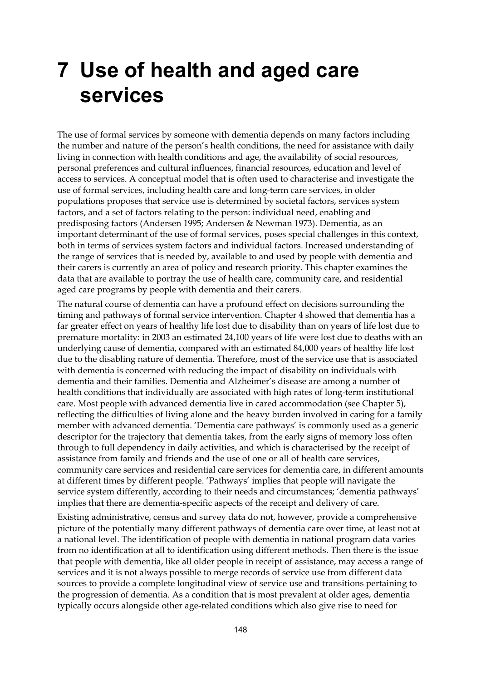# **7 Use of health and aged care services**

The use of formal services by someone with dementia depends on many factors including the number and nature of the person's health conditions, the need for assistance with daily living in connection with health conditions and age, the availability of social resources, personal preferences and cultural influences, financial resources, education and level of access to services. A conceptual model that is often used to characterise and investigate the use of formal services, including health care and long-term care services, in older populations proposes that service use is determined by societal factors, services system factors, and a set of factors relating to the person: individual need, enabling and predisposing factors (Andersen 1995; Andersen & Newman 1973). Dementia, as an important determinant of the use of formal services, poses special challenges in this context, both in terms of services system factors and individual factors. Increased understanding of the range of services that is needed by, available to and used by people with dementia and their carers is currently an area of policy and research priority. This chapter examines the data that are available to portray the use of health care, community care, and residential aged care programs by people with dementia and their carers.

The natural course of dementia can have a profound effect on decisions surrounding the timing and pathways of formal service intervention. Chapter 4 showed that dementia has a far greater effect on years of healthy life lost due to disability than on years of life lost due to premature mortality: in 2003 an estimated 24,100 years of life were lost due to deaths with an underlying cause of dementia, compared with an estimated 84,000 years of healthy life lost due to the disabling nature of dementia. Therefore, most of the service use that is associated with dementia is concerned with reducing the impact of disability on individuals with dementia and their families. Dementia and Alzheimer's disease are among a number of health conditions that individually are associated with high rates of long-term institutional care. Most people with advanced dementia live in cared accommodation (see Chapter 5), reflecting the difficulties of living alone and the heavy burden involved in caring for a family member with advanced dementia. 'Dementia care pathways' is commonly used as a generic descriptor for the trajectory that dementia takes, from the early signs of memory loss often through to full dependency in daily activities, and which is characterised by the receipt of assistance from family and friends and the use of one or all of health care services, community care services and residential care services for dementia care, in different amounts at different times by different people. 'Pathways' implies that people will navigate the service system differently, according to their needs and circumstances; 'dementia pathways' implies that there are dementia-specific aspects of the receipt and delivery of care.

Existing administrative, census and survey data do not, however, provide a comprehensive picture of the potentially many different pathways of dementia care over time, at least not at a national level. The identification of people with dementia in national program data varies from no identification at all to identification using different methods. Then there is the issue that people with dementia, like all older people in receipt of assistance, may access a range of services and it is not always possible to merge records of service use from different data sources to provide a complete longitudinal view of service use and transitions pertaining to the progression of dementia. As a condition that is most prevalent at older ages, dementia typically occurs alongside other age-related conditions which also give rise to need for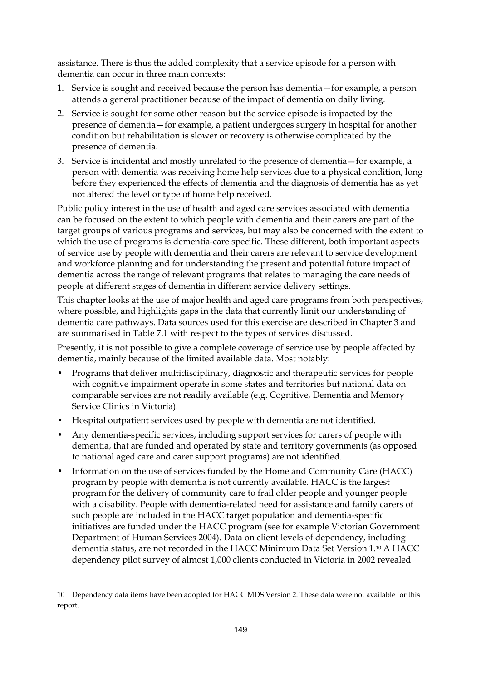assistance. There is thus the added complexity that a service episode for a person with dementia can occur in three main contexts:

- 1. Service is sought and received because the person has dementia—for example, a person attends a general practitioner because of the impact of dementia on daily living.
- 2. Service is sought for some other reason but the service episode is impacted by the presence of dementia—for example, a patient undergoes surgery in hospital for another condition but rehabilitation is slower or recovery is otherwise complicated by the presence of dementia.
- 3. Service is incidental and mostly unrelated to the presence of dementia—for example, a person with dementia was receiving home help services due to a physical condition, long before they experienced the effects of dementia and the diagnosis of dementia has as yet not altered the level or type of home help received.

Public policy interest in the use of health and aged care services associated with dementia can be focused on the extent to which people with dementia and their carers are part of the target groups of various programs and services, but may also be concerned with the extent to which the use of programs is dementia-care specific. These different, both important aspects of service use by people with dementia and their carers are relevant to service development and workforce planning and for understanding the present and potential future impact of dementia across the range of relevant programs that relates to managing the care needs of people at different stages of dementia in different service delivery settings.

This chapter looks at the use of major health and aged care programs from both perspectives, where possible, and highlights gaps in the data that currently limit our understanding of dementia care pathways. Data sources used for this exercise are described in Chapter 3 and are summarised in Table 7.1 with respect to the types of services discussed.

Presently, it is not possible to give a complete coverage of service use by people affected by dementia, mainly because of the limited available data. Most notably:

- Programs that deliver multidisciplinary, diagnostic and therapeutic services for people with cognitive impairment operate in some states and territories but national data on comparable services are not readily available (e.g. Cognitive, Dementia and Memory Service Clinics in Victoria).
- Hospital outpatient services used by people with dementia are not identified.
- Any dementia-specific services, including support services for carers of people with dementia, that are funded and operated by state and territory governments (as opposed to national aged care and carer support programs) are not identified.
- Information on the use of services funded by the Home and Community Care (HACC) program by people with dementia is not currently available. HACC is the largest program for the delivery of community care to frail older people and younger people with a disability. People with dementia-related need for assistance and family carers of such people are included in the HACC target population and dementia-specific initiatives are funded under the HACC program (see for example Victorian Government Department of Human Services 2004). Data on client levels of dependency, including dementia status, are not recorded in the HACC Minimum Data Set Version 1.<sup>10</sup> A HACC dependency pilot survey of almost 1,000 clients conducted in Victoria in 2002 revealed

 $\overline{a}$ 

<sup>10</sup> Dependency data items have been adopted for HACC MDS Version 2. These data were not available for this report.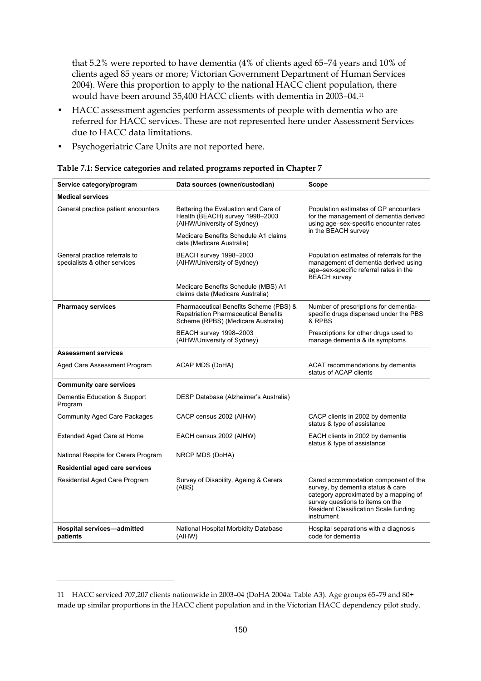that 5.2% were reported to have dementia (4% of clients aged 65–74 years and 10% of clients aged 85 years or more; Victorian Government Department of Human Services 2004). Were this proportion to apply to the national HACC client population, there would have been around 35,400 HACC clients with dementia in 2003–04.11

- HACC assessment agencies perform assessments of people with dementia who are referred for HACC services. These are not represented here under Assessment Services due to HACC data limitations.
- Psychogeriatric Care Units are not reported here.

| Service category/program                                      | Data sources (owner/custodian)                                                                                              | <b>Scope</b>                                                                                                                                                                                                  |
|---------------------------------------------------------------|-----------------------------------------------------------------------------------------------------------------------------|---------------------------------------------------------------------------------------------------------------------------------------------------------------------------------------------------------------|
| <b>Medical services</b>                                       |                                                                                                                             |                                                                                                                                                                                                               |
| General practice patient encounters                           | Bettering the Evaluation and Care of<br>Health (BEACH) survey 1998-2003<br>(AIHW/University of Sydney)                      | Population estimates of GP encounters<br>for the management of dementia derived<br>using age-sex-specific encounter rates                                                                                     |
|                                                               | Medicare Benefits Schedule A1 claims<br>data (Medicare Australia)                                                           | in the BEACH survey                                                                                                                                                                                           |
| General practice referrals to<br>specialists & other services | BEACH survey 1998-2003<br>(AIHW/University of Sydney)                                                                       | Population estimates of referrals for the<br>management of dementia derived using<br>age-sex-specific referral rates in the<br><b>BEACH</b> survey                                                            |
|                                                               | Medicare Benefits Schedule (MBS) A1<br>claims data (Medicare Australia)                                                     |                                                                                                                                                                                                               |
| <b>Pharmacy services</b>                                      | Pharmaceutical Benefits Scheme (PBS) &<br><b>Repatriation Pharmaceutical Benefits</b><br>Scheme (RPBS) (Medicare Australia) | Number of prescriptions for dementia-<br>specific drugs dispensed under the PBS<br>& RPBS                                                                                                                     |
|                                                               | BEACH survey 1998-2003<br>(AIHW/University of Sydney)                                                                       | Prescriptions for other drugs used to<br>manage dementia & its symptoms                                                                                                                                       |
| <b>Assessment services</b>                                    |                                                                                                                             |                                                                                                                                                                                                               |
| Aged Care Assessment Program                                  | ACAP MDS (DoHA)                                                                                                             | ACAT recommendations by dementia<br>status of ACAP clients                                                                                                                                                    |
| <b>Community care services</b>                                |                                                                                                                             |                                                                                                                                                                                                               |
| Dementia Education & Support<br>Program                       | DESP Database (Alzheimer's Australia)                                                                                       |                                                                                                                                                                                                               |
| <b>Community Aged Care Packages</b>                           | CACP census 2002 (AIHW)                                                                                                     | CACP clients in 2002 by dementia<br>status & type of assistance                                                                                                                                               |
| Extended Aged Care at Home                                    | EACH census 2002 (AIHW)                                                                                                     | EACH clients in 2002 by dementia<br>status & type of assistance                                                                                                                                               |
| National Respite for Carers Program                           | NRCP MDS (DoHA)                                                                                                             |                                                                                                                                                                                                               |
| <b>Residential aged care services</b>                         |                                                                                                                             |                                                                                                                                                                                                               |
| Residential Aged Care Program                                 | Survey of Disability, Ageing & Carers<br>(ABS)                                                                              | Cared accommodation component of the<br>survey, by dementia status & care<br>category approximated by a mapping of<br>survey questions to items on the<br>Resident Classification Scale funding<br>instrument |
| Hospital services-admitted<br>patients                        | National Hospital Morbidity Database<br>(AIHW)                                                                              | Hospital separations with a diagnosis<br>code for dementia                                                                                                                                                    |

| Table 7.1: Service categories and related programs reported in Chapter 7 |  |  |
|--------------------------------------------------------------------------|--|--|
|                                                                          |  |  |

 $\overline{a}$ 

<sup>11</sup> HACC serviced 707,207 clients nationwide in 2003–04 (DoHA 2004a: Table A3). Age groups 65–79 and 80+ made up similar proportions in the HACC client population and in the Victorian HACC dependency pilot study.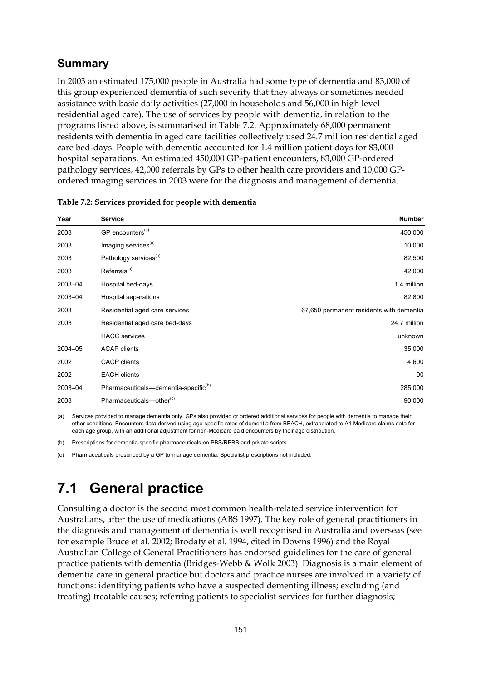### **Summary**

In 2003 an estimated 175,000 people in Australia had some type of dementia and 83,000 of this group experienced dementia of such severity that they always or sometimes needed assistance with basic daily activities (27,000 in households and 56,000 in high level residential aged care). The use of services by people with dementia, in relation to the programs listed above, is summarised in Table 7.2. Approximately 68,000 permanent residents with dementia in aged care facilities collectively used 24.7 million residential aged care bed-days. People with dementia accounted for 1.4 million patient days for 83,000 hospital separations. An estimated 450,000 GP–patient encounters, 83,000 GP-ordered pathology services, 42,000 referrals by GPs to other health care providers and 10,000 GPordered imaging services in 2003 were for the diagnosis and management of dementia.

| Year    | <b>Service</b>                                   | <b>Number</b>                            |
|---------|--------------------------------------------------|------------------------------------------|
| 2003    | GP encounters <sup>(a)</sup>                     | 450,000                                  |
| 2003    | Imaging services <sup>(a)</sup>                  | 10,000                                   |
| 2003    | Pathology services <sup>(a)</sup>                | 82,500                                   |
| 2003    | Referrals <sup>(a)</sup>                         | 42,000                                   |
| 2003-04 | Hospital bed-days                                | 1.4 million                              |
| 2003-04 | Hospital separations                             | 82,800                                   |
| 2003    | Residential aged care services                   | 67,650 permanent residents with dementia |
| 2003    | Residential aged care bed-days                   | 24.7 million                             |
|         | <b>HACC</b> services                             | unknown                                  |
| 2004-05 | <b>ACAP clients</b>                              | 35,000                                   |
| 2002    | <b>CACP</b> clients                              | 4,600                                    |
| 2002    | <b>EACH</b> clients                              | 90                                       |
| 2003-04 | Pharmaceuticals-dementia-specific <sup>(b)</sup> | 285,000                                  |
| 2003    | Pharmaceuticals-other <sup>(c)</sup>             | 90,000                                   |

|  |  | Table 7.2: Services provided for people with dementia |
|--|--|-------------------------------------------------------|
|--|--|-------------------------------------------------------|

(a) Services provided to manage dementia only. GPs also provided or ordered additional services for people with dementia to manage their other conditions. Encounters data derived using age-specific rates of dementia from BEACH, extrapolated to A1 Medicare claims data for each age group, with an additional adjustment for non-Medicare paid encounters by their age distribution.

(b) Prescriptions for dementia-specific pharmaceuticals on PBS/RPBS and private scripts.

(c) Pharmaceuticals prescribed by a GP to manage dementia. Specialist prescriptions not included.

## **7.1 General practice**

Consulting a doctor is the second most common health-related service intervention for Australians, after the use of medications (ABS 1997). The key role of general practitioners in the diagnosis and management of dementia is well recognised in Australia and overseas (see for example Bruce et al. 2002; Brodaty et al. 1994, cited in Downs 1996) and the Royal Australian College of General Practitioners has endorsed guidelines for the care of general practice patients with dementia (Bridges-Webb & Wolk 2003). Diagnosis is a main element of dementia care in general practice but doctors and practice nurses are involved in a variety of functions: identifying patients who have a suspected dementing illness; excluding (and treating) treatable causes; referring patients to specialist services for further diagnosis;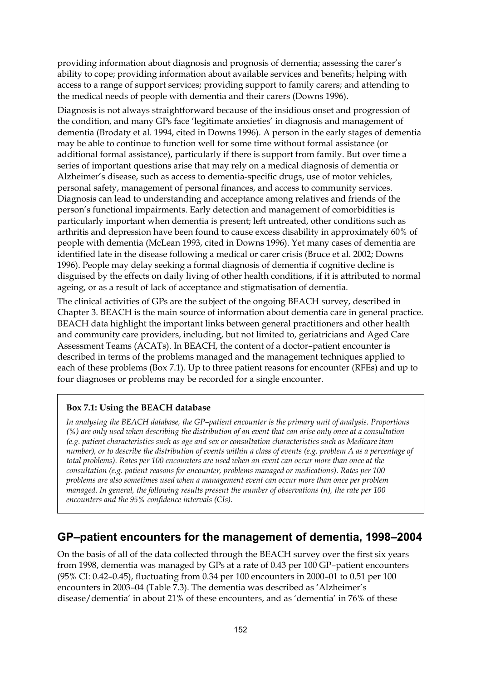providing information about diagnosis and prognosis of dementia; assessing the carer's ability to cope; providing information about available services and benefits; helping with access to a range of support services; providing support to family carers; and attending to the medical needs of people with dementia and their carers (Downs 1996).

Diagnosis is not always straightforward because of the insidious onset and progression of the condition, and many GPs face 'legitimate anxieties' in diagnosis and management of dementia (Brodaty et al. 1994, cited in Downs 1996). A person in the early stages of dementia may be able to continue to function well for some time without formal assistance (or additional formal assistance), particularly if there is support from family. But over time a series of important questions arise that may rely on a medical diagnosis of dementia or Alzheimer's disease, such as access to dementia-specific drugs, use of motor vehicles, personal safety, management of personal finances, and access to community services. Diagnosis can lead to understanding and acceptance among relatives and friends of the person's functional impairments. Early detection and management of comorbidities is particularly important when dementia is present; left untreated, other conditions such as arthritis and depression have been found to cause excess disability in approximately 60% of people with dementia (McLean 1993, cited in Downs 1996). Yet many cases of dementia are identified late in the disease following a medical or carer crisis (Bruce et al. 2002; Downs 1996). People may delay seeking a formal diagnosis of dementia if cognitive decline is disguised by the effects on daily living of other health conditions, if it is attributed to normal ageing, or as a result of lack of acceptance and stigmatisation of dementia.

The clinical activities of GPs are the subject of the ongoing BEACH survey, described in Chapter 3. BEACH is the main source of information about dementia care in general practice. BEACH data highlight the important links between general practitioners and other health and community care providers, including, but not limited to, geriatricians and Aged Care Assessment Teams (ACATs). In BEACH, the content of a doctor–patient encounter is described in terms of the problems managed and the management techniques applied to each of these problems (Box 7.1). Up to three patient reasons for encounter (RFEs) and up to four diagnoses or problems may be recorded for a single encounter.

#### **Box 7.1: Using the BEACH database**

*In analysing the BEACH database, the GP–patient encounter is the primary unit of analysis. Proportions (%) are only used when describing the distribution of an event that can arise only once at a consultation (e.g. patient characteristics such as age and sex or consultation characteristics such as Medicare item number), or to describe the distribution of events within a class of events (e.g. problem A as a percentage of total problems). Rates per 100 encounters are used when an event can occur more than once at the consultation (e.g. patient reasons for encounter, problems managed or medications). Rates per 100 problems are also sometimes used when a management event can occur more than once per problem managed. In general, the following results present the number of observations (n), the rate per 100 encounters and the 95% confidence intervals (CIs).* 

### **GP–patient encounters for the management of dementia, 1998–2004**

On the basis of all of the data collected through the BEACH survey over the first six years from 1998, dementia was managed by GPs at a rate of 0.43 per 100 GP–patient encounters (95% CI: 0.42–0.45), fluctuating from 0.34 per 100 encounters in 2000–01 to 0.51 per 100 encounters in 2003–04 (Table 7.3). The dementia was described as 'Alzheimer's disease/dementia' in about 21% of these encounters, and as 'dementia' in 76% of these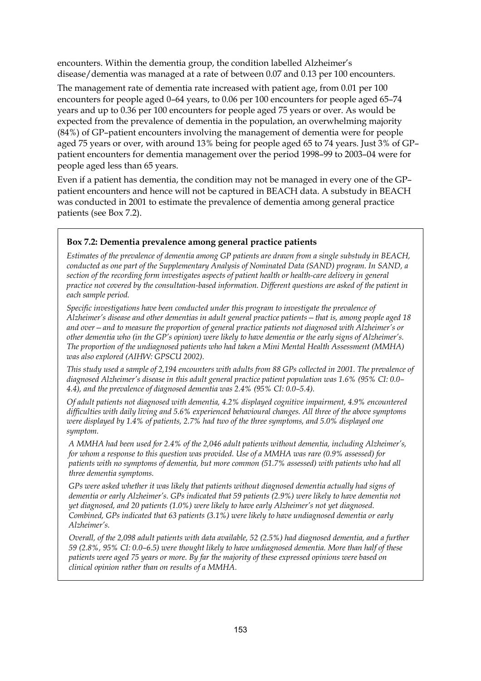encounters. Within the dementia group, the condition labelled Alzheimer's disease/dementia was managed at a rate of between 0.07 and 0.13 per 100 encounters.

The management rate of dementia rate increased with patient age, from 0.01 per 100 encounters for people aged 0–64 years, to 0.06 per 100 encounters for people aged 65–74 years and up to 0.36 per 100 encounters for people aged 75 years or over. As would be expected from the prevalence of dementia in the population, an overwhelming majority (84%) of GP–patient encounters involving the management of dementia were for people aged 75 years or over, with around 13% being for people aged 65 to 74 years. Just 3% of GP– patient encounters for dementia management over the period 1998–99 to 2003–04 were for people aged less than 65 years.

Even if a patient has dementia, the condition may not be managed in every one of the GP– patient encounters and hence will not be captured in BEACH data. A substudy in BEACH was conducted in 2001 to estimate the prevalence of dementia among general practice patients (see Box 7.2).

#### **Box 7.2: Dementia prevalence among general practice patients**

*Estimates of the prevalence of dementia among GP patients are drawn from a single substudy in BEACH, conducted as one part of the Supplementary Analysis of Nominated Data (SAND) program. In SAND, a section of the recording form investigates aspects of patient health or health-care delivery in general practice not covered by the consultation-based information. Different questions are asked of the patient in each sample period.* 

*Specific investigations have been conducted under this program to investigate the prevalence of Alzheimer's disease and other dementias in adult general practice patients—that is, among people aged 18 and over—and to measure the proportion of general practice patients not diagnosed with Alzheimer's or other dementia who (in the GP's opinion) were likely to have dementia or the early signs of Alzheimer's. The proportion of the undiagnosed patients who had taken a Mini Mental Health Assessment (MMHA) was also explored (AIHW: GPSCU 2002).* 

*This study used a sample of 2,194 encounters with adults from 88 GPs collected in 2001. The prevalence of diagnosed Alzheimer's disease in this adult general practice patient population was 1.6% (95% CI: 0.0– 4.4), and the prevalence of diagnosed dementia was 2.4% (95% CI: 0.0–5.4).* 

*Of adult patients not diagnosed with dementia, 4.2% displayed cognitive impairment, 4.9% encountered difficulties with daily living and 5.6% experienced behavioural changes. All three of the above symptoms were displayed by 1.4% of patients, 2.7% had two of the three symptoms, and 5.0% displayed one symptom.* 

*A MMHA had been used for 2.4% of the 2,046 adult patients without dementia, including Alzheimer's, for whom a response to this question was provided. Use of a MMHA was rare (0.9% assessed) for patients with no symptoms of dementia, but more common (51.7% assessed) with patients who had all three dementia symptoms.* 

*GPs were asked whether it was likely that patients without diagnosed dementia actually had signs of dementia or early Alzheimer's. GPs indicated that 59 patients (2.9%) were likely to have dementia not yet diagnosed, and 20 patients (1.0%) were likely to have early Alzheimer's not yet diagnosed. Combined, GPs indicated that 63 patients (3.1%) were likely to have undiagnosed dementia or early Alzheimer's.* 

*Overall, of the 2,098 adult patients with data available, 52 (2.5%) had diagnosed dementia, and a further 59 (2.8%, 95% CI: 0.0–6.5) were thought likely to have undiagnosed dementia. More than half of these patients were aged 75 years or more. By far the majority of these expressed opinions were based on clinical opinion rather than on results of a MMHA.*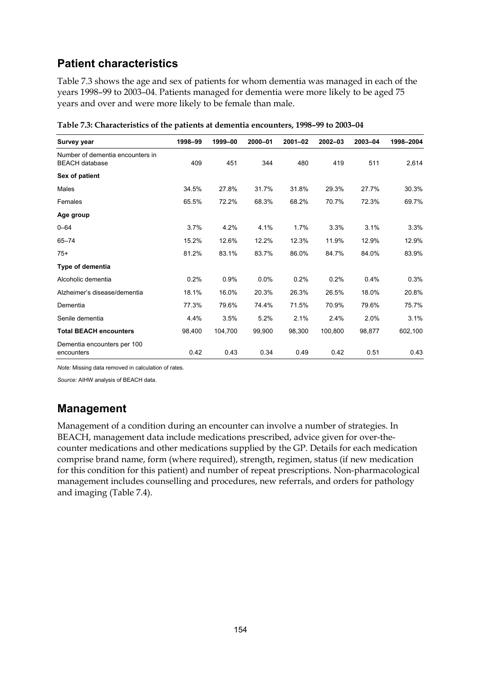## **Patient characteristics**

Table 7.3 shows the age and sex of patients for whom dementia was managed in each of the years 1998–99 to 2003–04. Patients managed for dementia were more likely to be aged 75 years and over and were more likely to be female than male.

| <b>Survey year</b>                                        | 1998-99 | 1999-00 | 2000-01 | $2001 - 02$ | $2002 - 03$ | 2003-04 | 1998-2004 |
|-----------------------------------------------------------|---------|---------|---------|-------------|-------------|---------|-----------|
| Number of dementia encounters in<br><b>BEACH</b> database | 409     | 451     | 344     | 480         | 419         | 511     | 2,614     |
| Sex of patient                                            |         |         |         |             |             |         |           |
| Males                                                     | 34.5%   | 27.8%   | 31.7%   | 31.8%       | 29.3%       | 27.7%   | 30.3%     |
| Females                                                   | 65.5%   | 72.2%   | 68.3%   | 68.2%       | 70.7%       | 72.3%   | 69.7%     |
| Age group                                                 |         |         |         |             |             |         |           |
| $0 - 64$                                                  | 3.7%    | 4.2%    | 4.1%    | 1.7%        | 3.3%        | 3.1%    | 3.3%      |
| $65 - 74$                                                 | 15.2%   | 12.6%   | 12.2%   | 12.3%       | 11.9%       | 12.9%   | 12.9%     |
| $75+$                                                     | 81.2%   | 83.1%   | 83.7%   | 86.0%       | 84.7%       | 84.0%   | 83.9%     |
| Type of dementia                                          |         |         |         |             |             |         |           |
| Alcoholic dementia                                        | 0.2%    | 0.9%    | 0.0%    | 0.2%        | 0.2%        | 0.4%    | 0.3%      |
| Alzheimer's disease/dementia                              | 18.1%   | 16.0%   | 20.3%   | 26.3%       | 26.5%       | 18.0%   | 20.8%     |
| Dementia                                                  | 77.3%   | 79.6%   | 74.4%   | 71.5%       | 70.9%       | 79.6%   | 75.7%     |
| Senile dementia                                           | 4.4%    | 3.5%    | 5.2%    | 2.1%        | 2.4%        | 2.0%    | 3.1%      |
| <b>Total BEACH encounters</b>                             | 98,400  | 104,700 | 99,900  | 98,300      | 100,800     | 98,877  | 602,100   |
| Dementia encounters per 100<br>encounters                 | 0.42    | 0.43    | 0.34    | 0.49        | 0.42        | 0.51    | 0.43      |

**Table 7.3: Characteristics of the patients at dementia encounters, 1998–99 to 2003–04** 

*Note:* Missing data removed in calculation of rates.

*Source:* AIHW analysis of BEACH data.

### **Management**

Management of a condition during an encounter can involve a number of strategies. In BEACH, management data include medications prescribed, advice given for over-thecounter medications and other medications supplied by the GP. Details for each medication comprise brand name, form (where required), strength, regimen, status (if new medication for this condition for this patient) and number of repeat prescriptions. Non-pharmacological management includes counselling and procedures, new referrals, and orders for pathology and imaging (Table 7.4).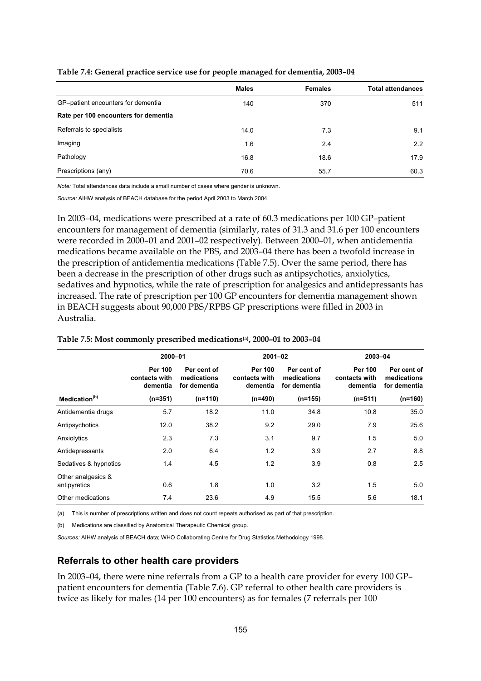|                                      | <b>Males</b> | <b>Females</b> | <b>Total attendances</b> |
|--------------------------------------|--------------|----------------|--------------------------|
| GP-patient encounters for dementia   | 140          | 370            | 511                      |
| Rate per 100 encounters for dementia |              |                |                          |
| Referrals to specialists             | 14.0         | 7.3            | 9.1                      |
| Imaging                              | 1.6          | 2.4            | 2.2                      |
| Pathology                            | 16.8         | 18.6           | 17.9                     |
| Prescriptions (any)                  | 70.6         | 55.7           | 60.3                     |

#### **Table 7.4: General practice service use for people managed for dementia, 2003–04**

*Note:* Total attendances data include a small number of cases where gender is unknown.

*Source:* AIHW analysis of BEACH database for the period April 2003 to March 2004.

In 2003–04, medications were prescribed at a rate of 60.3 medications per 100 GP–patient encounters for management of dementia (similarly, rates of 31.3 and 31.6 per 100 encounters were recorded in 2000–01 and 2001–02 respectively). Between 2000–01, when antidementia medications became available on the PBS, and 2003–04 there has been a twofold increase in the prescription of antidementia medications (Table 7.5). Over the same period, there has been a decrease in the prescription of other drugs such as antipsychotics, anxiolytics, sedatives and hypnotics, while the rate of prescription for analgesics and antidepressants has increased. The rate of prescription per 100 GP encounters for dementia management shown in BEACH suggests about 90,000 PBS/RPBS GP prescriptions were filled in 2003 in Australia.

#### **2000–01 2001–02 2003–04 Per 100 contacts with dementia Per cent of medications for dementia Per 100 contacts with dementia Per cent of medications for dementia Per 100 contacts with dementia Per cent of medications**  dementia for**dementia dementia for**dementia dementia fordementia  **Medication(b) (n=351) (n=110) (n=490) (n=155) (n=511) (n=160)** Antidementia drugs 6.7 18.2 11.0 34.8 10.8 35.0 Antipsychotics 12.0 38.2 9.2 29.0 7.9 25.6 Anxiolytics 2.3 7.3 3.1 9.7 1.5 5.0 Antidepressants 2.0 6.4 1.2 3.9 2.7 8.8 Sedatives & hypnotics **1.4** 4.5 1.2 3.9 0.8 2.5 Other analgesics & antipyretics 0.6 1.8 1.0 3.2 1.5 5.0 Other medications **7.4** 23.6 4.9 15.5 5.6 18.1

#### **Table 7.5: Most commonly prescribed medications(a), 2000–01 to 2003–04**

(a) This is number of prescriptions written and does not count repeats authorised as part of that prescription.

(b) Medications are classified by Anatomical Therapeutic Chemical group.

*Sources:* AIHW analysis of BEACH data; WHO Collaborating Centre for Drug Statistics Methodology 1998.

#### **Referrals to other health care providers**

In 2003–04, there were nine referrals from a GP to a health care provider for every 100 GP– patient encounters for dementia (Table 7.6). GP referral to other health care providers is twice as likely for males (14 per 100 encounters) as for females (7 referrals per 100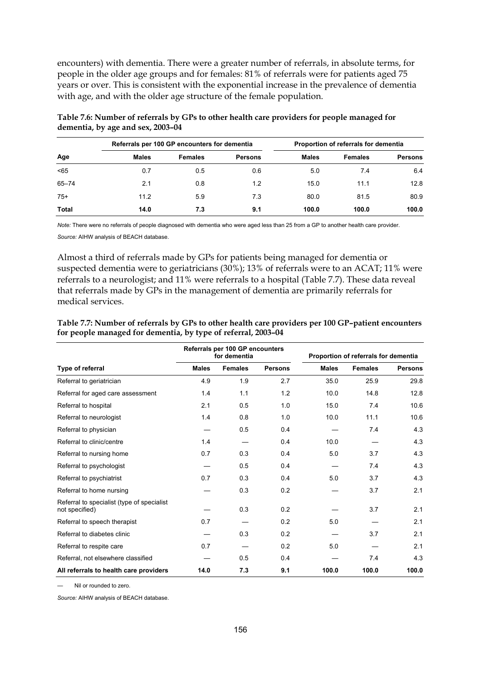encounters) with dementia. There were a greater number of referrals, in absolute terms, for people in the older age groups and for females: 81% of referrals were for patients aged 75 years or over. This is consistent with the exponential increase in the prevalence of dementia with age, and with the older age structure of the female population.

|           |              | Referrals per 100 GP encounters for dementia |                |       | Proportion of referrals for dementia |                |  |
|-----------|--------------|----------------------------------------------|----------------|-------|--------------------------------------|----------------|--|
| Age       | <b>Males</b> | <b>Females</b>                               | <b>Persons</b> | Males | <b>Females</b>                       | <b>Persons</b> |  |
| < 65      | 0.7          | 0.5                                          | 0.6            | 5.0   | 7.4                                  | 6.4            |  |
| $65 - 74$ | 2.1          | 0.8                                          | 1.2            | 15.0  | 11.1                                 | 12.8           |  |
| $75+$     | 11.2         | 5.9                                          | 7.3            | 80.0  | 81.5                                 | 80.9           |  |
| Total     | 14.0         | 7.3                                          | 9.1            | 100.0 | 100.0                                | 100.0          |  |

| Table 7.6: Number of referrals by GPs to other health care providers for people managed for |  |
|---------------------------------------------------------------------------------------------|--|
| dementia, by age and sex, 2003-04                                                           |  |

*Note:* There were no referrals of people diagnosed with dementia who were aged less than 25 from a GP to another health care provider. *Source:* AIHW analysis of BEACH database.

Almost a third of referrals made by GPs for patients being managed for dementia or suspected dementia were to geriatricians (30%); 13% of referrals were to an ACAT; 11% were referrals to a neurologist; and 11% were referrals to a hospital (Table 7.7). These data reveal that referrals made by GPs in the management of dementia are primarily referrals for medical services.

| Table 7.7: Number of referrals by GPs to other health care providers per 100 GP-patient encounters |
|----------------------------------------------------------------------------------------------------|
| for people managed for dementia, by type of referral, 2003-04                                      |

|                                                               |              | Referrals per 100 GP encounters<br>for dementia |                | Proportion of referrals for dementia |                |                |
|---------------------------------------------------------------|--------------|-------------------------------------------------|----------------|--------------------------------------|----------------|----------------|
| Type of referral                                              | <b>Males</b> | <b>Females</b>                                  | <b>Persons</b> | <b>Males</b>                         | <b>Females</b> | <b>Persons</b> |
| Referral to geriatrician                                      | 4.9          | 1.9                                             | 2.7            | 35.0                                 | 25.9           | 29.8           |
| Referral for aged care assessment                             | 1.4          | 1.1                                             | 1.2            | 10.0                                 | 14.8           | 12.8           |
| Referral to hospital                                          | 2.1          | 0.5                                             | 1.0            | 15.0                                 | 7.4            | 10.6           |
| Referral to neurologist                                       | 1.4          | 0.8                                             | 1.0            | 10.0                                 | 11.1           | 10.6           |
| Referral to physician                                         |              | 0.5                                             | 0.4            |                                      | 7.4            | 4.3            |
| Referral to clinic/centre                                     | 1.4          |                                                 | 0.4            | 10.0                                 |                | 4.3            |
| Referral to nursing home                                      | 0.7          | 0.3                                             | 0.4            | 5.0                                  | 3.7            | 4.3            |
| Referral to psychologist                                      |              | 0.5                                             | 0.4            |                                      | 7.4            | 4.3            |
| Referral to psychiatrist                                      | 0.7          | 0.3                                             | 0.4            | 5.0                                  | 3.7            | 4.3            |
| Referral to home nursing                                      |              | 0.3                                             | 0.2            |                                      | 3.7            | 2.1            |
| Referral to specialist (type of specialist)<br>not specified) |              | 0.3                                             | 0.2            |                                      | 3.7            | 2.1            |
| Referral to speech therapist                                  | 0.7          |                                                 | 0.2            | 5.0                                  |                | 2.1            |
| Referral to diabetes clinic                                   |              | 0.3                                             | 0.2            |                                      | 3.7            | 2.1            |
| Referral to respite care                                      | 0.7          |                                                 | 0.2            | 5.0                                  |                | 2.1            |
| Referral, not elsewhere classified                            |              | 0.5                                             | 0.4            |                                      | 7.4            | 4.3            |
| All referrals to health care providers                        | 14.0         | 7.3                                             | 9.1            | 100.0                                | 100.0          | 100.0          |

Nil or rounded to zero.

*Source:* AIHW analysis of BEACH database.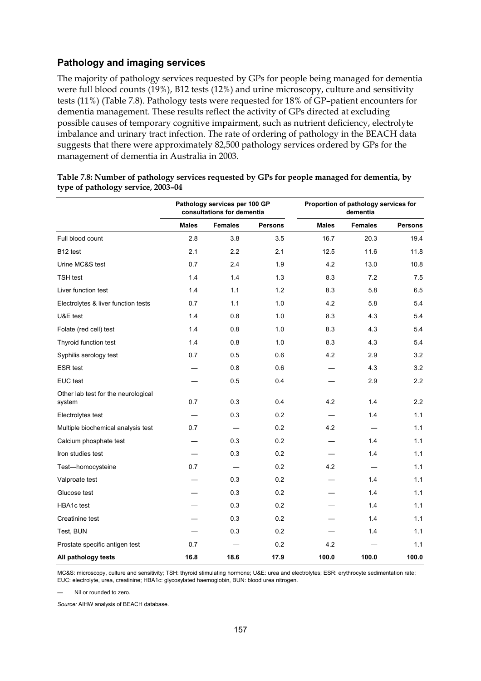#### **Pathology and imaging services**

The majority of pathology services requested by GPs for people being managed for dementia were full blood counts (19%), B12 tests (12%) and urine microscopy, culture and sensitivity tests (11%) (Table 7.8). Pathology tests were requested for 18% of GP–patient encounters for dementia management. These results reflect the activity of GPs directed at excluding possible causes of temporary cognitive impairment, such as nutrient deficiency, electrolyte imbalance and urinary tract infection. The rate of ordering of pathology in the BEACH data suggests that there were approximately 82,500 pathology services ordered by GPs for the management of dementia in Australia in 2003.

|                                               | Pathology services per 100 GP<br>consultations for dementia |                |                |              | Proportion of pathology services for<br>dementia |                |
|-----------------------------------------------|-------------------------------------------------------------|----------------|----------------|--------------|--------------------------------------------------|----------------|
|                                               | <b>Males</b>                                                | <b>Females</b> | <b>Persons</b> | <b>Males</b> | <b>Females</b>                                   | <b>Persons</b> |
| Full blood count                              | 2.8                                                         | 3.8            | 3.5            | 16.7         | 20.3                                             | 19.4           |
| B <sub>12</sub> test                          | 2.1                                                         | 2.2            | 2.1            | 12.5         | 11.6                                             | 11.8           |
| Urine MC&S test                               | 0.7                                                         | 2.4            | 1.9            | 4.2          | 13.0                                             | 10.8           |
| <b>TSH</b> test                               | 1.4                                                         | 1.4            | 1.3            | 8.3          | 7.2                                              | 7.5            |
| Liver function test                           | 1.4                                                         | 1.1            | 1.2            | 8.3          | 5.8                                              | 6.5            |
| Electrolytes & liver function tests           | 0.7                                                         | 1.1            | 1.0            | 4.2          | 5.8                                              | 5.4            |
| U&E test                                      | 1.4                                                         | 0.8            | 1.0            | 8.3          | 4.3                                              | 5.4            |
| Folate (red cell) test                        | 1.4                                                         | 0.8            | 1.0            | 8.3          | 4.3                                              | 5.4            |
| Thyroid function test                         | 1.4                                                         | 0.8            | 1.0            | 8.3          | 4.3                                              | 5.4            |
| Syphilis serology test                        | 0.7                                                         | 0.5            | 0.6            | 4.2          | 2.9                                              | 3.2            |
| <b>ESR</b> test                               |                                                             | 0.8            | 0.6            |              | 4.3                                              | 3.2            |
| EUC test                                      |                                                             | 0.5            | 0.4            |              | 2.9                                              | 2.2            |
| Other lab test for the neurological<br>system | 0.7                                                         | 0.3            | 0.4            | 4.2          | 1.4                                              | 2.2            |
| Electrolytes test                             |                                                             | 0.3            | 0.2            |              | 1.4                                              | 1.1            |
| Multiple biochemical analysis test            | 0.7                                                         |                | 0.2            | 4.2          |                                                  | 1.1            |
| Calcium phosphate test                        |                                                             | 0.3            | 0.2            |              | 1.4                                              | 1.1            |
| Iron studies test                             |                                                             | 0.3            | 0.2            |              | 1.4                                              | 1.1            |
| Test-homocysteine                             | 0.7                                                         |                | 0.2            | 4.2          |                                                  | 1.1            |
| Valproate test                                |                                                             | 0.3            | 0.2            |              | 1.4                                              | 1.1            |
| Glucose test                                  |                                                             | 0.3            | 0.2            |              | 1.4                                              | 1.1            |
| HBA1c test                                    |                                                             | 0.3            | 0.2            |              | 1.4                                              | 1.1            |
| Creatinine test                               |                                                             | 0.3            | 0.2            |              | 1.4                                              | 1.1            |
| Test, BUN                                     |                                                             | 0.3            | 0.2            |              | 1.4                                              | 1.1            |
| Prostate specific antigen test                | 0.7                                                         |                | 0.2            | 4.2          |                                                  | 1.1            |
| All pathology tests                           | 16.8                                                        | 18.6           | 17.9           | 100.0        | 100.0                                            | 100.0          |

| Table 7.8: Number of pathology services requested by GPs for people managed for dementia, by |  |
|----------------------------------------------------------------------------------------------|--|
| type of pathology service, 2003–04                                                           |  |

MC&S: microscopy, culture and sensitivity; TSH: thyroid stimulating hormone; U&E: urea and electrolytes; ESR: erythrocyte sedimentation rate; EUC: electrolyte, urea, creatinine; HBA1c: glycosylated haemoglobin, BUN: blood urea nitrogen.

Nil or rounded to zero.

*Source:* AIHW analysis of BEACH database.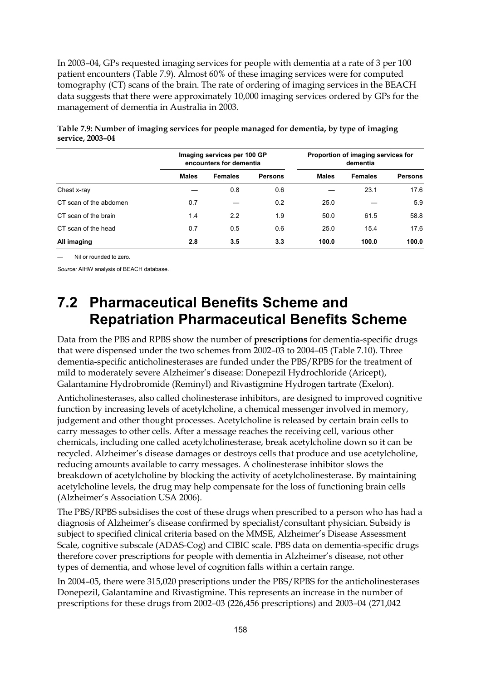In 2003–04, GPs requested imaging services for people with dementia at a rate of 3 per 100 patient encounters (Table 7.9). Almost 60% of these imaging services were for computed tomography (CT) scans of the brain. The rate of ordering of imaging services in the BEACH data suggests that there were approximately 10,000 imaging services ordered by GPs for the management of dementia in Australia in 2003.

|                        |              | Imaging services per 100 GP<br>encounters for dementia |                | Proportion of imaging services for<br>dementia |                |                |
|------------------------|--------------|--------------------------------------------------------|----------------|------------------------------------------------|----------------|----------------|
|                        | <b>Males</b> | <b>Females</b>                                         | <b>Persons</b> | <b>Males</b>                                   | <b>Females</b> | <b>Persons</b> |
| Chest x-ray            |              | 0.8                                                    | 0.6            |                                                | 23.1           | 17.6           |
| CT scan of the abdomen | 0.7          |                                                        | 0.2            | 25.0                                           |                | 5.9            |
| CT scan of the brain   | 1.4          | 2.2                                                    | 1.9            | 50.0                                           | 61.5           | 58.8           |
| CT scan of the head    | 0.7          | 0.5                                                    | 0.6            | 25.0                                           | 15.4           | 17.6           |
| All imaging            | 2.8          | 3.5                                                    | 3.3            | 100.0                                          | 100.0          | 100.0          |

**Table 7.9: Number of imaging services for people managed for dementia, by type of imaging service, 2003–04** 

— Nil or rounded to zero.

*Source:* AIHW analysis of BEACH database.

## **7.2 Pharmaceutical Benefits Scheme and Repatriation Pharmaceutical Benefits Scheme**

Data from the PBS and RPBS show the number of **prescriptions** for dementia-specific drugs that were dispensed under the two schemes from 2002–03 to 2004–05 (Table 7.10). Three dementia-specific anticholinesterases are funded under the PBS/RPBS for the treatment of mild to moderately severe Alzheimer's disease: Donepezil Hydrochloride (Aricept), Galantamine Hydrobromide (Reminyl) and Rivastigmine Hydrogen tartrate (Exelon).

Anticholinesterases, also called cholinesterase inhibitors, are designed to improved cognitive function by increasing levels of acetylcholine, a chemical messenger involved in memory, judgement and other thought processes. Acetylcholine is released by certain brain cells to carry messages to other cells. After a message reaches the receiving cell, various other chemicals, including one called acetylcholinesterase, break acetylcholine down so it can be recycled. Alzheimer's disease damages or destroys cells that produce and use acetylcholine, reducing amounts available to carry messages. A cholinesterase inhibitor slows the breakdown of acetylcholine by blocking the activity of acetylcholinesterase. By maintaining acetylcholine levels, the drug may help compensate for the loss of functioning brain cells (Alzheimer's Association USA 2006).

The PBS/RPBS subsidises the cost of these drugs when prescribed to a person who has had a diagnosis of Alzheimer's disease confirmed by specialist/consultant physician. Subsidy is subject to specified clinical criteria based on the MMSE, Alzheimer's Disease Assessment Scale, cognitive subscale (ADAS-Cog) and CIBIC scale. PBS data on dementia-specific drugs therefore cover prescriptions for people with dementia in Alzheimer's disease, not other types of dementia, and whose level of cognition falls within a certain range.

In 2004–05, there were 315,020 prescriptions under the PBS/RPBS for the anticholinesterases Donepezil, Galantamine and Rivastigmine. This represents an increase in the number of prescriptions for these drugs from 2002–03 (226,456 prescriptions) and 2003–04 (271,042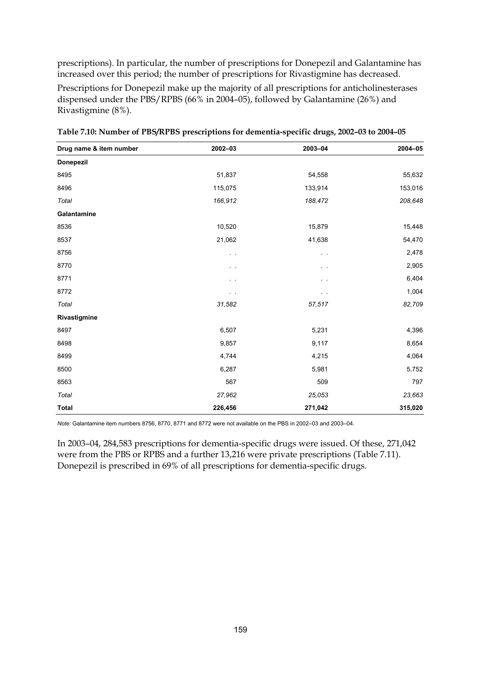prescriptions). In particular, the number of prescriptions for Donepezil and Galantamine has increased over this period; the number of prescriptions for Rivastigmine has decreased.

Prescriptions for Donepezil make up the majority of all prescriptions for anticholinesterases dispensed under the PBS/RPBS (66% in 2004–05), followed by Galantamine (26%) and Rivastigmine (8%).

| Drug name & item number | 2002-03        | 2003-04        | 2004-05 |
|-------------------------|----------------|----------------|---------|
| <b>Donepezil</b>        |                |                |         |
| 8495                    | 51,837         | 54,558         | 55,632  |
| 8496                    | 115,075        | 133,914        | 153,016 |
| Total                   | 166,912        | 188,472        | 208,648 |
| Galantamine             |                |                |         |
| 8536                    | 10,520         | 15,879         | 15,448  |
| 8537                    | 21,062         | 41,638         | 54,470  |
| 8756                    | $\sim$ $-$     | $\alpha = 0.1$ | 2,478   |
| 8770                    | $\sim$ $ \sim$ | $\sim$ $\sim$  | 2,905   |
| 8771                    | $\sim$ $ \sim$ | $\sim$         | 6,404   |
| 8772                    | $\sim$ $\sim$  | $\sim$ $-$     | 1,004   |
| Total                   | 31,582         | 57,517         | 82,709  |
| Rivastigmine            |                |                |         |
| 8497                    | 6,507          | 5,231          | 4,396   |
| 8498                    | 9,857          | 9,117          | 8,654   |
| 8499                    | 4,744          | 4,215          | 4,064   |
| 8500                    | 6,287          | 5,981          | 5,752   |
| 8563                    | 567            | 509            | 797     |
| Total                   | 27,962         | 25,053         | 23,663  |
| <b>Total</b>            | 226,456        | 271,042        | 315,020 |

**Table 7.10: Number of PBS/RPBS prescriptions for dementia-specific drugs, 2002–03 to 2004–05** 

*Note:* Galantamine item numbers 8756, 8770, 8771 and 8772 were not available on the PBS in 2002–03 and 2003–04.

In 2003–04, 284,583 prescriptions for dementia-specific drugs were issued. Of these, 271,042 were from the PBS or RPBS and a further 13,216 were private prescriptions (Table 7.11). Donepezil is prescribed in 69% of all prescriptions for dementia-specific drugs.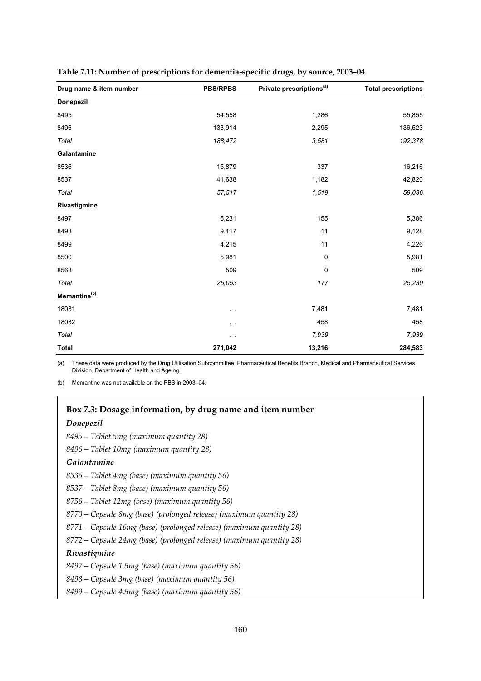| Drug name & item number  | <b>PBS/RPBS</b> | Private prescriptions <sup>(a)</sup> | <b>Total prescriptions</b> |
|--------------------------|-----------------|--------------------------------------|----------------------------|
| <b>Donepezil</b>         |                 |                                      |                            |
| 8495                     | 54,558          | 1,286                                | 55,855                     |
| 8496                     | 133,914         | 2,295                                | 136,523                    |
| Total                    | 188,472         | 3,581                                | 192,378                    |
| Galantamine              |                 |                                      |                            |
| 8536                     | 15,879          | 337                                  | 16,216                     |
| 8537                     | 41,638          | 1,182                                | 42,820                     |
| Total                    | 57,517          | 1,519                                | 59,036                     |
| Rivastigmine             |                 |                                      |                            |
| 8497                     | 5,231           | 155                                  | 5,386                      |
| 8498                     | 9,117           | 11                                   | 9,128                      |
| 8499                     | 4,215           | 11                                   | 4,226                      |
| 8500                     | 5,981           | $\mathbf 0$                          | 5,981                      |
| 8563                     | 509             | 0                                    | 509                        |
| Total                    | 25,053          | 177                                  | 25,230                     |
| Memantine <sup>(b)</sup> |                 |                                      |                            |
| 18031                    |                 | 7,481                                | 7,481                      |
| 18032                    | $\sim$ $ \sim$  | 458                                  | 458                        |
| Total                    |                 | 7,939                                | 7,939                      |
| <b>Total</b>             | 271,042         | 13,216                               | 284,583                    |

| Table 7.11: Number of prescriptions for dementia-specific drugs, by source, 2003-04 |  |  |
|-------------------------------------------------------------------------------------|--|--|
|                                                                                     |  |  |

(a) These data were produced by the Drug Utilisation Subcommittee, Pharmaceutical Benefits Branch, Medical and Pharmaceutical Services Division, Department of Health and Ageing.

(b) Memantine was not available on the PBS in 2003–04.

#### **Box 7.3: Dosage information, by drug name and item number**

#### *Donepezil*

*8495—Tablet 5mg (maximum quantity 28)* 

*8496—Tablet 10mg (maximum quantity 28)* 

#### *Galantamine*

- *8536—Tablet 4mg (base) (maximum quantity 56)*
- *8537—Tablet 8mg (base) (maximum quantity 56)*
- *8756—Tablet 12mg (base) (maximum quantity 56)*
- *8770—Capsule 8mg (base) (prolonged release) (maximum quantity 28)*
- *8771—Capsule 16mg (base) (prolonged release) (maximum quantity 28)*
- *8772—Capsule 24mg (base) (prolonged release) (maximum quantity 28)*

#### *Rivastigmine*

- *8497—Capsule 1.5mg (base) (maximum quantity 56)*
- *8498—Capsule 3mg (base) (maximum quantity 56)*
- *8499—Capsule 4.5mg (base) (maximum quantity 56)*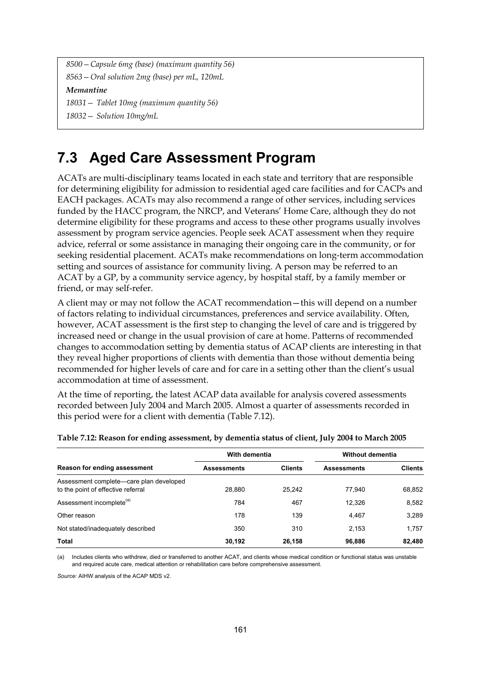*8500—Capsule 6mg (base) (maximum quantity 56) 8563—Oral solution 2mg (base) per mL, 120mL Memantine 18031— Tablet 10mg (maximum quantity 56)* 

*18032— Solution 10mg/mL* 

## **7.3 Aged Care Assessment Program**

ACATs are multi-disciplinary teams located in each state and territory that are responsible for determining eligibility for admission to residential aged care facilities and for CACPs and EACH packages. ACATs may also recommend a range of other services, including services funded by the HACC program, the NRCP, and Veterans' Home Care, although they do not determine eligibility for these programs and access to these other programs usually involves assessment by program service agencies. People seek ACAT assessment when they require advice, referral or some assistance in managing their ongoing care in the community, or for seeking residential placement. ACATs make recommendations on long-term accommodation setting and sources of assistance for community living. A person may be referred to an ACAT by a GP, by a community service agency, by hospital staff, by a family member or friend, or may self-refer.

A client may or may not follow the ACAT recommendation—this will depend on a number of factors relating to individual circumstances, preferences and service availability. Often, however, ACAT assessment is the first step to changing the level of care and is triggered by increased need or change in the usual provision of care at home. Patterns of recommended changes to accommodation setting by dementia status of ACAP clients are interesting in that they reveal higher proportions of clients with dementia than those without dementia being recommended for higher levels of care and for care in a setting other than the client's usual accommodation at time of assessment.

At the time of reporting, the latest ACAP data available for analysis covered assessments recorded between July 2004 and March 2005. Almost a quarter of assessments recorded in this period were for a client with dementia (Table 7.12).

|                                                                               | With dementia      |                | Without dementia   |                |
|-------------------------------------------------------------------------------|--------------------|----------------|--------------------|----------------|
| Reason for ending assessment                                                  | <b>Assessments</b> | <b>Clients</b> | <b>Assessments</b> | <b>Clients</b> |
| Assessment complete—care plan developed<br>to the point of effective referral | 28.880             | 25.242         | 77.940             | 68,852         |
| Assessment incomplete <sup>(a)</sup>                                          | 784                | 467            | 12.326             | 8,582          |
| Other reason                                                                  | 178                | 139            | 4,467              | 3.289          |
| Not stated/inadequately described                                             | 350                | 310            | 2.153              | 1.757          |
| Total                                                                         | 30,192             | 26.158         | 96,886             | 82,480         |

#### **Table 7.12: Reason for ending assessment, by dementia status of client, July 2004 to March 2005**

(a) Includes clients who withdrew, died or transferred to another ACAT, and clients whose medical condition or functional status was unstable and required acute care, medical attention or rehabilitation care before comprehensive assessment.

*Source:* AIHW analysis of the ACAP MDS v2.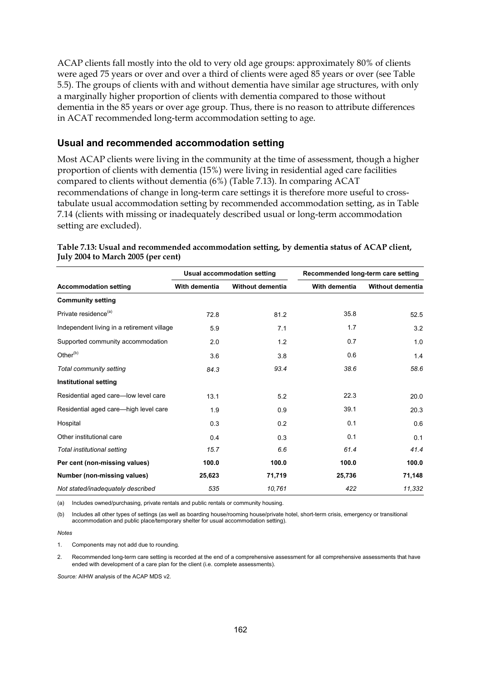ACAP clients fall mostly into the old to very old age groups: approximately 80% of clients were aged 75 years or over and over a third of clients were aged 85 years or over (see Table 5.5). The groups of clients with and without dementia have similar age structures, with only a marginally higher proportion of clients with dementia compared to those without dementia in the 85 years or over age group. Thus, there is no reason to attribute differences in ACAT recommended long-term accommodation setting to age.

#### **Usual and recommended accommodation setting**

Most ACAP clients were living in the community at the time of assessment, though a higher proportion of clients with dementia (15%) were living in residential aged care facilities compared to clients without dementia (6%) (Table 7.13). In comparing ACAT recommendations of change in long-term care settings it is therefore more useful to crosstabulate usual accommodation setting by recommended accommodation setting, as in Table 7.14 (clients with missing or inadequately described usual or long-term accommodation setting are excluded).

|                                            |               | <b>Usual accommodation setting</b> | Recommended long-term care setting |                         |  |
|--------------------------------------------|---------------|------------------------------------|------------------------------------|-------------------------|--|
| <b>Accommodation setting</b>               | With dementia | <b>Without dementia</b>            | With dementia                      | <b>Without dementia</b> |  |
| <b>Community setting</b>                   |               |                                    |                                    |                         |  |
| Private residence <sup>(a)</sup>           | 72.8          | 81.2                               | 35.8                               | 52.5                    |  |
| Independent living in a retirement village | 5.9           | 7.1                                | 1.7                                | 3.2                     |  |
| Supported community accommodation          | 2.0           | 1.2                                | 0.7                                | 1.0                     |  |
| Other <sup>(b)</sup>                       | 3.6           | 3.8                                | 0.6                                | 1.4                     |  |
| Total community setting                    | 84.3          | 93.4                               | 38.6                               | 58.6                    |  |
| <b>Institutional setting</b>               |               |                                    |                                    |                         |  |
| Residential aged care-low level care       | 13.1          | 5.2                                | 22.3                               | 20.0                    |  |
| Residential aged care—high level care      | 1.9           | 0.9                                | 39.1                               | 20.3                    |  |
| Hospital                                   | 0.3           | 0.2                                | 0.1                                | 0.6                     |  |
| Other institutional care                   | 0.4           | 0.3                                | 0.1                                | 0.1                     |  |
| Total institutional setting                | 15.7          | 6.6                                | 61.4                               | 41.4                    |  |
| Per cent (non-missing values)              | 100.0         | 100.0                              | 100.0                              | 100.0                   |  |
| Number (non-missing values)                | 25,623        | 71,719                             | 25,736                             | 71,148                  |  |
| Not stated/inadequately described          | 535           | 10,761                             | 422                                | 11,332                  |  |

#### **Table 7.13: Usual and recommended accommodation setting, by dementia status of ACAP client, July 2004 to March 2005 (per cent)**

(a) Includes owned/purchasing, private rentals and public rentals or community housing.

(b) Includes all other types of settings (as well as boarding house/rooming house/private hotel, short-term crisis, emergency or transitional accommodation and public place/temporary shelter for usual accommodation setting).

*Notes* 

1. Components may not add due to rounding.

2. Recommended long-term care setting is recorded at the end of a comprehensive assessment for all comprehensive assessments that have ended with development of a care plan for the client (i.e. complete assessments).

*Source:* AIHW analysis of the ACAP MDS v2.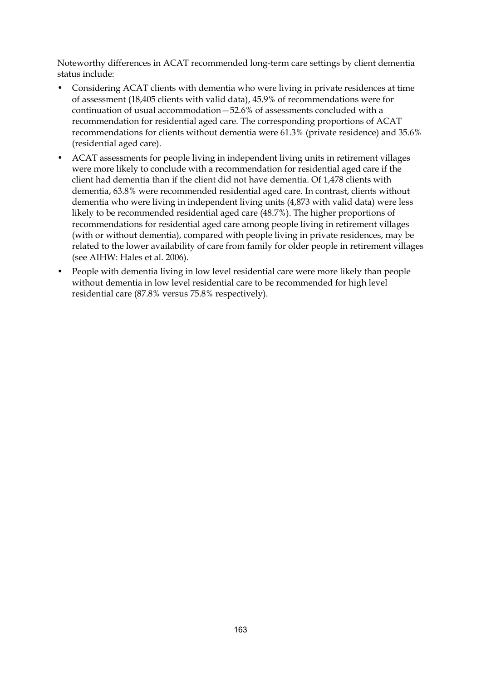Noteworthy differences in ACAT recommended long-term care settings by client dementia status include:

- Considering ACAT clients with dementia who were living in private residences at time of assessment (18,405 clients with valid data), 45.9% of recommendations were for continuation of usual accommodation—52.6% of assessments concluded with a recommendation for residential aged care. The corresponding proportions of ACAT recommendations for clients without dementia were 61.3% (private residence) and 35.6% (residential aged care).
- ACAT assessments for people living in independent living units in retirement villages were more likely to conclude with a recommendation for residential aged care if the client had dementia than if the client did not have dementia. Of 1,478 clients with dementia, 63.8% were recommended residential aged care. In contrast, clients without dementia who were living in independent living units (4,873 with valid data) were less likely to be recommended residential aged care (48.7%). The higher proportions of recommendations for residential aged care among people living in retirement villages (with or without dementia), compared with people living in private residences, may be related to the lower availability of care from family for older people in retirement villages (see AIHW: Hales et al. 2006).
- People with dementia living in low level residential care were more likely than people without dementia in low level residential care to be recommended for high level residential care (87.8% versus 75.8% respectively).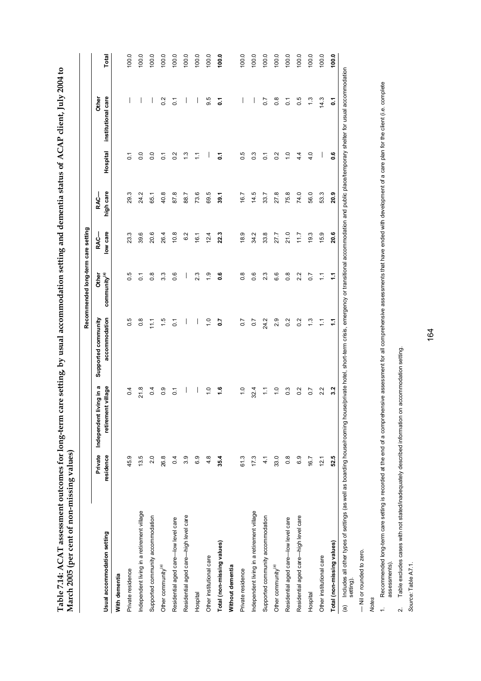Table 7.14: ACAT assessment outcomes for long-term care setting, by usual accommodation setting and dementia status of ACAP client, July 2004 to **Table 7.14: ACAT assessment outcomes for long-term care setting, by usual accommodation setting and dementia status of ACAP client, July 2004 to**  March 2005 (per cent of non-missing values) **March 2005 (per cent of non-missing values)** 

|                                                                                              |                      |                                                   |                                                                                                                                         | Recommended long-term care setting |                  |                          |                  |                             |       |
|----------------------------------------------------------------------------------------------|----------------------|---------------------------------------------------|-----------------------------------------------------------------------------------------------------------------------------------------|------------------------------------|------------------|--------------------------|------------------|-----------------------------|-------|
| Usual accommodation setting                                                                  | Private<br>residence | Independent living in a<br>nt village<br>retireme | accommodation<br>Supported community                                                                                                    | community <sup>(a)</sup><br>Other  | low care<br>RAC- | high care<br><b>RAC-</b> | Hospital         | institutional care<br>Other | Total |
| With dementia                                                                                |                      |                                                   |                                                                                                                                         |                                    |                  |                          |                  |                             |       |
| Private residence                                                                            | 45.9                 | $\overline{0.4}$                                  | $\overline{0}$ .5                                                                                                                       | 0.5                                | 23.3             | 29.3                     | ္င               | I                           | 100.0 |
| Independent living in a retirement village                                                   | 13.5                 | 21.8                                              | $0.\overline{8}$                                                                                                                        | $\overline{c}$                     | 39.6             | 24.2                     | $\overline{0}$   | I                           | 100.0 |
| Supported community accommodation                                                            | 2.0                  | 0.4                                               | $\frac{1}{11}$                                                                                                                          | $\frac{8}{1}$                      | 20.6             | 65.1                     | $\overline{0}$   | I                           | 100.0 |
| Other community <sup>(a)</sup>                                                               | 26.8                 | 0.9                                               | $\frac{15}{1}$                                                                                                                          | 3.3                                | 26.4             | 40.8                     | $\overline{c}$   | 0.2                         | 100.0 |
| Residential aged care-low level care                                                         | 0.4                  | $\overline{c}$                                    | $\overline{0}$                                                                                                                          | 0.6                                | 10.8             | 87.8                     | 0.2              | $\overline{C}$              | 100.0 |
| Residential aged care-high level care                                                        | 3.9                  | I                                                 | I                                                                                                                                       | I                                  | 6.2              | 88.7                     | 1.3              |                             | 100.0 |
| Hospital                                                                                     | 6.9                  | I                                                 | I                                                                                                                                       | 23                                 | 16.1             | 73.6                     | Ξ                | I                           | 100.0 |
| Other institutional care                                                                     | 4.8                  | $\frac{0}{1}$                                     | $\frac{0}{1}$                                                                                                                           | $\ddot{0}$                         | 12.4             | 69.5                     |                  | 9.5                         | 100.0 |
| Total (non-missing values)                                                                   | 35.4                 | ءُ                                                | 2.0                                                                                                                                     | ە<br>ق                             | 22.3             | 39.1                     | ៵                | ៵                           | 100.0 |
| Without dementia                                                                             |                      |                                                   |                                                                                                                                         |                                    |                  |                          |                  |                             |       |
| Private residence                                                                            | 61.3                 | $\frac{1}{2}$                                     | $\overline{0.7}$                                                                                                                        | $\frac{8}{2}$                      | 18.9             | 16.7                     | 0.5              | $\overline{\phantom{a}}$    | 100.0 |
| Independent living in a retirement village                                                   | 17.3                 | 32.4                                              | $\overline{0}$ .                                                                                                                        | 0.6                                | 34.2             | 14.5                     | $0.\overline{3}$ | I                           | 100.0 |
| Supported community accommodation                                                            | $\frac{1}{4}$        | Ξ                                                 | 24.2                                                                                                                                    | 23                                 | 33.8             | 33.7                     | $\overline{0}$   | 0.7                         | 100.0 |
| Other community <sup>(a)</sup>                                                               | 33.0                 | $\tilde{c}$                                       | 2.9                                                                                                                                     | 6.6                                | 27.7             | 27.8                     | 0.2              | $0.\overline{8}$            | 100.0 |
| Residential aged care-low level care                                                         | 0.8                  | $\frac{3}{2}$                                     | 0.2                                                                                                                                     | $\frac{8}{2}$                      | 21.0             | 75.8                     | $\frac{0}{1}$    | $\overline{C}$              | 100.0 |
| Residential aged care-high level care                                                        | 6.9                  | 0.2                                               | 0.2                                                                                                                                     | 2.2                                | 11.7             | 74.0                     | 4.4              | 0.5                         | 100.0 |
| Hospital                                                                                     | 16.7                 | $\overline{0}$ .7                                 | $\ddot{.}3$                                                                                                                             | $\overline{0}$                     | 19.3             | 56.0                     | 4.0              | $\frac{3}{2}$               | 100.0 |
| Other institutional care                                                                     | 12.1                 | 2.2                                               | $\sum$                                                                                                                                  | Ξ                                  | 15.9             | 53.3                     | I                | 14.3                        | 100.0 |
| Total (non-missing values)                                                                   | 52.5                 | 3.2                                               | 2                                                                                                                                       | 11                                 | 20.6             | 20.9                     | ە.               | Σ                           | 100.0 |
| Includes all other types of settings (as well as boarding house/rooming hou<br>$\widehat{a}$ |                      |                                                   | se/private hotel, short-term crisis, emergency or transitional accommodation and public place/temporary shelter for usual accommodation |                                    |                  |                          |                  |                             |       |

setting).

— Nil or rounded to zero. - Nil or rounded to zero.

*Notes* 

1. Recommended long-term care setting is recorded at the end of a comprehensive assessment for all comprehensive assessments that have ended with development of a care plan for the client (i.e. complete 1. Recommended long-term care setting is recorded at the end of a comprehensive assessment for all comprehensive assessments that have ended with development of a care plan for the client (i.e. complete assessments). assessments).

Table excludes cases with not stated/inadequately described information on accommodation setting. 2. Table excludes cases with not stated/inadequately described information on accommodation setting.  $\sim$ 

Source: Table A7.1. *Source:* Table A7.1.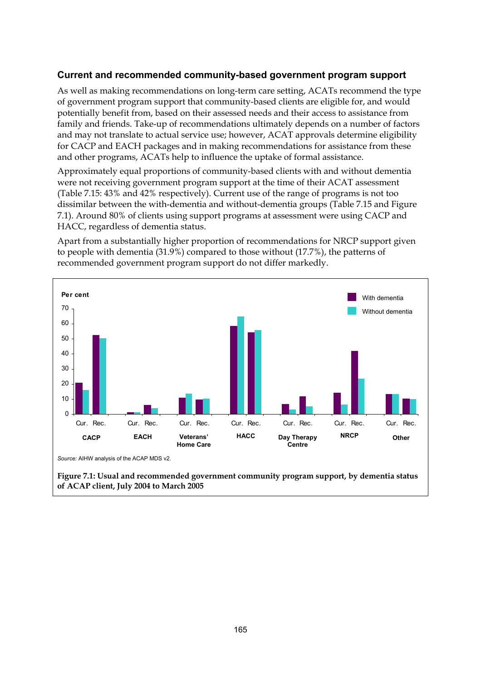#### **Current and recommended community-based government program support**

As well as making recommendations on long-term care setting, ACATs recommend the type of government program support that community-based clients are eligible for, and would potentially benefit from, based on their assessed needs and their access to assistance from family and friends. Take-up of recommendations ultimately depends on a number of factors and may not translate to actual service use; however, ACAT approvals determine eligibility for CACP and EACH packages and in making recommendations for assistance from these and other programs, ACATs help to influence the uptake of formal assistance.

Approximately equal proportions of community-based clients with and without dementia were not receiving government program support at the time of their ACAT assessment (Table 7.15: 43% and 42% respectively). Current use of the range of programs is not too dissimilar between the with-dementia and without-dementia groups (Table 7.15 and Figure 7.1). Around 80% of clients using support programs at assessment were using CACP and HACC, regardless of dementia status.

Apart from a substantially higher proportion of recommendations for NRCP support given to people with dementia (31.9%) compared to those without (17.7%), the patterns of recommended government program support do not differ markedly.



**Figure 7.1: Usual and recommended government community program support, by dementia status of ACAP client, July 2004 to March 2005**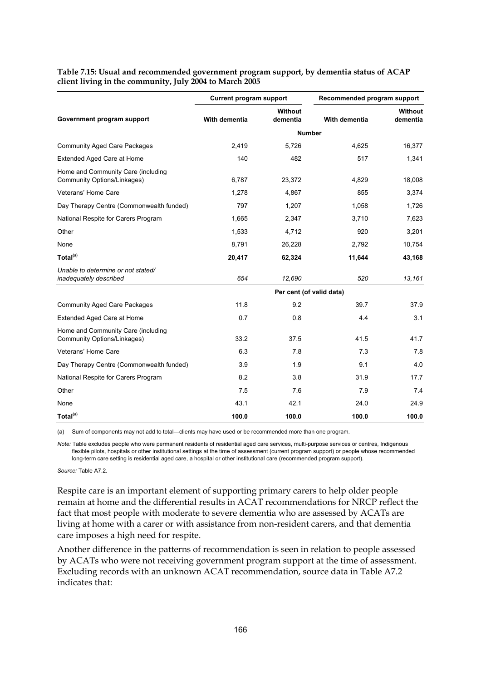| Government program support                                        | <b>Current program support</b><br>Recommended program support<br><b>Without</b><br>With dementia<br>With dementia<br>dementia<br><b>Number</b><br>2,419<br>5,726<br>4,625<br>140<br>482<br>517<br>6,787<br>23,372<br>4,829<br>1,278<br>4.867<br>855<br>797<br>1,207<br>1,058<br>1,665<br>2,347<br>3.710<br>920<br>1,533<br>4,712<br>8,791<br>2,792<br>26,228<br>20,417<br>62,324<br>11,644<br>654<br>520<br>12,690<br>Per cent (of valid data)<br>11.8<br>9.2<br>39.7<br>0.7<br>0.8<br>4.4<br>33.2<br>37.5<br>41.5<br>6.3<br>7.3<br>7.8<br>9.1<br>3.9<br>1.9<br>3.8<br>31.9<br>8.2<br>7.5<br>7.9<br>7.6<br>42.1<br>43.1<br>24.0 | <b>Without</b><br>dementia |       |        |
|-------------------------------------------------------------------|---------------------------------------------------------------------------------------------------------------------------------------------------------------------------------------------------------------------------------------------------------------------------------------------------------------------------------------------------------------------------------------------------------------------------------------------------------------------------------------------------------------------------------------------------------------------------------------------------------------------------------|----------------------------|-------|--------|
|                                                                   |                                                                                                                                                                                                                                                                                                                                                                                                                                                                                                                                                                                                                                 |                            |       |        |
| <b>Community Aged Care Packages</b>                               |                                                                                                                                                                                                                                                                                                                                                                                                                                                                                                                                                                                                                                 |                            |       | 16,377 |
| Extended Aged Care at Home                                        |                                                                                                                                                                                                                                                                                                                                                                                                                                                                                                                                                                                                                                 |                            |       | 1,341  |
| Home and Community Care (including<br>Community Options/Linkages) |                                                                                                                                                                                                                                                                                                                                                                                                                                                                                                                                                                                                                                 |                            |       | 18,008 |
| Veterans' Home Care                                               |                                                                                                                                                                                                                                                                                                                                                                                                                                                                                                                                                                                                                                 |                            |       | 3,374  |
| Day Therapy Centre (Commonwealth funded)                          |                                                                                                                                                                                                                                                                                                                                                                                                                                                                                                                                                                                                                                 |                            |       | 1,726  |
| National Respite for Carers Program                               |                                                                                                                                                                                                                                                                                                                                                                                                                                                                                                                                                                                                                                 |                            |       | 7,623  |
| Other                                                             |                                                                                                                                                                                                                                                                                                                                                                                                                                                                                                                                                                                                                                 |                            |       | 3,201  |
| None                                                              |                                                                                                                                                                                                                                                                                                                                                                                                                                                                                                                                                                                                                                 |                            |       | 10,754 |
| Total <sup>(a)</sup>                                              |                                                                                                                                                                                                                                                                                                                                                                                                                                                                                                                                                                                                                                 |                            |       | 43,168 |
| Unable to determine or not stated/<br>inadequately described      |                                                                                                                                                                                                                                                                                                                                                                                                                                                                                                                                                                                                                                 |                            |       | 13,161 |
|                                                                   |                                                                                                                                                                                                                                                                                                                                                                                                                                                                                                                                                                                                                                 |                            |       |        |
| <b>Community Aged Care Packages</b>                               |                                                                                                                                                                                                                                                                                                                                                                                                                                                                                                                                                                                                                                 |                            |       | 37.9   |
| Extended Aged Care at Home                                        |                                                                                                                                                                                                                                                                                                                                                                                                                                                                                                                                                                                                                                 |                            |       | 3.1    |
| Home and Community Care (including<br>Community Options/Linkages) |                                                                                                                                                                                                                                                                                                                                                                                                                                                                                                                                                                                                                                 |                            |       | 41.7   |
| Veterans' Home Care                                               |                                                                                                                                                                                                                                                                                                                                                                                                                                                                                                                                                                                                                                 |                            |       | 7.8    |
| Day Therapy Centre (Commonwealth funded)                          |                                                                                                                                                                                                                                                                                                                                                                                                                                                                                                                                                                                                                                 |                            |       | 4.0    |
| National Respite for Carers Program                               |                                                                                                                                                                                                                                                                                                                                                                                                                                                                                                                                                                                                                                 |                            |       | 17.7   |
| Other                                                             |                                                                                                                                                                                                                                                                                                                                                                                                                                                                                                                                                                                                                                 |                            |       | 7.4    |
| None                                                              |                                                                                                                                                                                                                                                                                                                                                                                                                                                                                                                                                                                                                                 |                            |       | 24.9   |
| Total <sup>(a)</sup>                                              | 100.0                                                                                                                                                                                                                                                                                                                                                                                                                                                                                                                                                                                                                           | 100.0                      | 100.0 | 100.0  |

#### **Table 7.15: Usual and recommended government program support, by dementia status of ACAP client living in the community, July 2004 to March 2005**

(a) Sum of components may not add to total—clients may have used or be recommended more than one program.

*Note:* Table excludes people who were permanent residents of residential aged care services, multi-purpose services or centres, Indigenous flexible pilots, hospitals or other institutional settings at the time of assessment (current program support) or people whose recommended long-term care setting is residential aged care, a hospital or other institutional care (recommended program support).

*Source:* Table A7.2.

Respite care is an important element of supporting primary carers to help older people remain at home and the differential results in ACAT recommendations for NRCP reflect the fact that most people with moderate to severe dementia who are assessed by ACATs are living at home with a carer or with assistance from non-resident carers, and that dementia care imposes a high need for respite.

Another difference in the patterns of recommendation is seen in relation to people assessed by ACATs who were not receiving government program support at the time of assessment. Excluding records with an unknown ACAT recommendation, source data in Table A7.2 indicates that: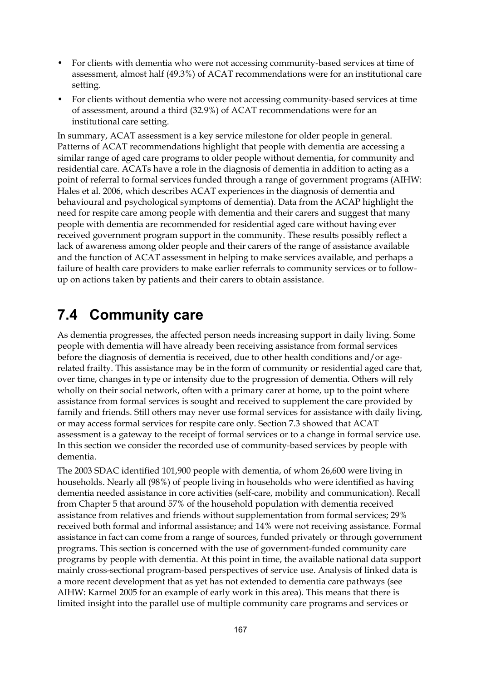- For clients with dementia who were not accessing community-based services at time of assessment, almost half (49.3%) of ACAT recommendations were for an institutional care setting.
- For clients without dementia who were not accessing community-based services at time of assessment, around a third (32.9%) of ACAT recommendations were for an institutional care setting.

In summary, ACAT assessment is a key service milestone for older people in general. Patterns of ACAT recommendations highlight that people with dementia are accessing a similar range of aged care programs to older people without dementia, for community and residential care. ACATs have a role in the diagnosis of dementia in addition to acting as a point of referral to formal services funded through a range of government programs (AIHW: Hales et al. 2006, which describes ACAT experiences in the diagnosis of dementia and behavioural and psychological symptoms of dementia). Data from the ACAP highlight the need for respite care among people with dementia and their carers and suggest that many people with dementia are recommended for residential aged care without having ever received government program support in the community. These results possibly reflect a lack of awareness among older people and their carers of the range of assistance available and the function of ACAT assessment in helping to make services available, and perhaps a failure of health care providers to make earlier referrals to community services or to followup on actions taken by patients and their carers to obtain assistance.

## **7.4 Community care**

As dementia progresses, the affected person needs increasing support in daily living. Some people with dementia will have already been receiving assistance from formal services before the diagnosis of dementia is received, due to other health conditions and/or agerelated frailty. This assistance may be in the form of community or residential aged care that, over time, changes in type or intensity due to the progression of dementia. Others will rely wholly on their social network, often with a primary carer at home, up to the point where assistance from formal services is sought and received to supplement the care provided by family and friends. Still others may never use formal services for assistance with daily living, or may access formal services for respite care only. Section 7.3 showed that ACAT assessment is a gateway to the receipt of formal services or to a change in formal service use. In this section we consider the recorded use of community-based services by people with dementia.

The 2003 SDAC identified 101,900 people with dementia, of whom 26,600 were living in households. Nearly all (98%) of people living in households who were identified as having dementia needed assistance in core activities (self-care, mobility and communication). Recall from Chapter 5 that around 57% of the household population with dementia received assistance from relatives and friends without supplementation from formal services; 29% received both formal and informal assistance; and 14% were not receiving assistance. Formal assistance in fact can come from a range of sources, funded privately or through government programs. This section is concerned with the use of government-funded community care programs by people with dementia. At this point in time, the available national data support mainly cross-sectional program-based perspectives of service use. Analysis of linked data is a more recent development that as yet has not extended to dementia care pathways (see AIHW: Karmel 2005 for an example of early work in this area). This means that there is limited insight into the parallel use of multiple community care programs and services or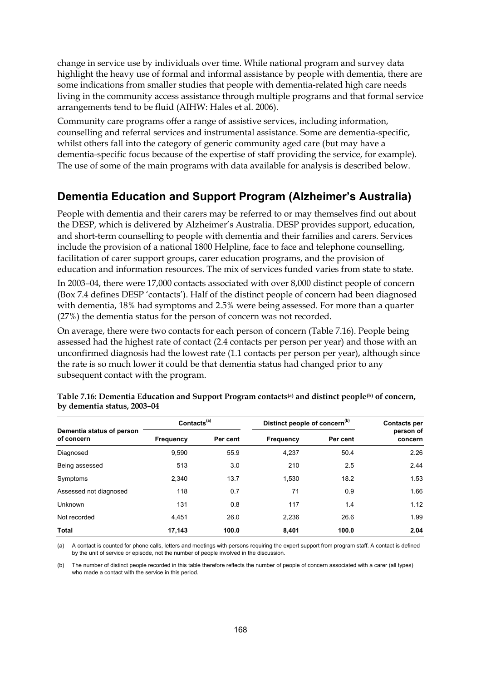change in service use by individuals over time. While national program and survey data highlight the heavy use of formal and informal assistance by people with dementia, there are some indications from smaller studies that people with dementia-related high care needs living in the community access assistance through multiple programs and that formal service arrangements tend to be fluid (AIHW: Hales et al. 2006).

Community care programs offer a range of assistive services, including information, counselling and referral services and instrumental assistance. Some are dementia-specific, whilst others fall into the category of generic community aged care (but may have a dementia-specific focus because of the expertise of staff providing the service, for example). The use of some of the main programs with data available for analysis is described below.

### **Dementia Education and Support Program (Alzheimer's Australia)**

People with dementia and their carers may be referred to or may themselves find out about the DESP, which is delivered by Alzheimer's Australia. DESP provides support, education, and short-term counselling to people with dementia and their families and carers. Services include the provision of a national 1800 Helpline, face to face and telephone counselling, facilitation of carer support groups, carer education programs, and the provision of education and information resources. The mix of services funded varies from state to state.

In 2003–04, there were 17,000 contacts associated with over 8,000 distinct people of concern (Box 7.4 defines DESP 'contacts'). Half of the distinct people of concern had been diagnosed with dementia, 18% had symptoms and 2.5% were being assessed. For more than a quarter (27%) the dementia status for the person of concern was not recorded.

On average, there were two contacts for each person of concern (Table 7.16). People being assessed had the highest rate of contact (2.4 contacts per person per year) and those with an unconfirmed diagnosis had the lowest rate (1.1 contacts per person per year), although since the rate is so much lower it could be that dementia status had changed prior to any subsequent contact with the program.

|                                         | Contacts <sup>(a)</sup> |          | Distinct people of concern <sup>(b)</sup> | <b>Contacts per</b> |                      |
|-----------------------------------------|-------------------------|----------|-------------------------------------------|---------------------|----------------------|
| Dementia status of person<br>of concern | <b>Frequency</b>        | Per cent | Frequency                                 | Per cent            | person of<br>concern |
| Diagnosed                               | 9,590                   | 55.9     | 4,237                                     | 50.4                | 2.26                 |
| Being assessed                          | 513                     | 3.0      | 210                                       | 2.5                 | 2.44                 |
| Symptoms                                | 2.340                   | 13.7     | 1.530                                     | 18.2                | 1.53                 |
| Assessed not diagnosed                  | 118                     | 0.7      | 71                                        | 0.9                 | 1.66                 |
| Unknown                                 | 131                     | 0.8      | 117                                       | 1.4                 | 1.12                 |
| Not recorded                            | 4.451                   | 26.0     | 2.236                                     | 26.6                | 1.99                 |
| <b>Total</b>                            | 17.143                  | 100.0    | 8.401                                     | 100.0               | 2.04                 |

**Table 7.16: Dementia Education and Support Program contacts(a) and distinct people(b) of concern, by dementia status, 2003–04** 

(a) A contact is counted for phone calls, letters and meetings with persons requiring the expert support from program staff. A contact is defined by the unit of service or episode, not the number of people involved in the discussion.

(b) The number of distinct people recorded in this table therefore reflects the number of people of concern associated with a carer (all types) who made a contact with the service in this period.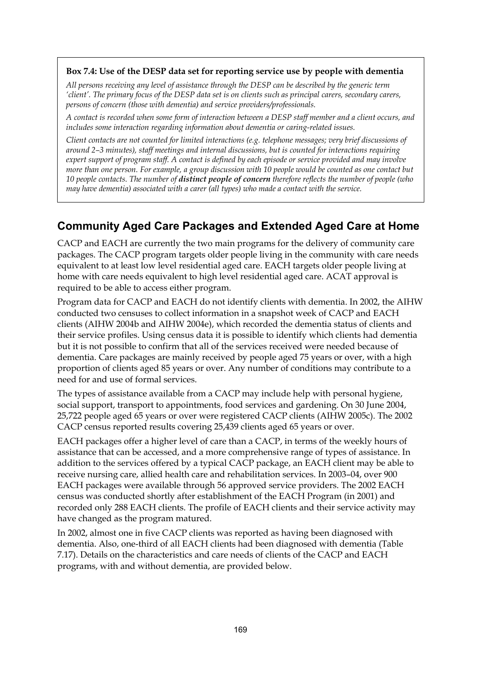#### **Box 7.4: Use of the DESP data set for reporting service use by people with dementia**

*All persons receiving any level of assistance through the DESP can be described by the generic term 'client'. The primary focus of the DESP data set is on clients such as principal carers, secondary carers, persons of concern (those with dementia) and service providers/professionals.* 

*A contact is recorded when some form of interaction between a DESP staff member and a client occurs, and includes some interaction regarding information about dementia or caring-related issues.* 

*Client contacts are not counted for limited interactions (e.g. telephone messages; very brief discussions of around 2–3 minutes), staff meetings and internal discussions, but is counted for interactions requiring expert support of program staff. A contact is defined by each episode or service provided and may involve more than one person. For example, a group discussion with 10 people would be counted as one contact but 10 people contacts. The number of distinct people of concern therefore reflects the number of people (who may have dementia) associated with a carer (all types) who made a contact with the service.* 

### **Community Aged Care Packages and Extended Aged Care at Home**

CACP and EACH are currently the two main programs for the delivery of community care packages. The CACP program targets older people living in the community with care needs equivalent to at least low level residential aged care. EACH targets older people living at home with care needs equivalent to high level residential aged care. ACAT approval is required to be able to access either program.

Program data for CACP and EACH do not identify clients with dementia. In 2002, the AIHW conducted two censuses to collect information in a snapshot week of CACP and EACH clients (AIHW 2004b and AIHW 2004e), which recorded the dementia status of clients and their service profiles. Using census data it is possible to identify which clients had dementia but it is not possible to confirm that all of the services received were needed because of dementia. Care packages are mainly received by people aged 75 years or over, with a high proportion of clients aged 85 years or over. Any number of conditions may contribute to a need for and use of formal services.

The types of assistance available from a CACP may include help with personal hygiene, social support, transport to appointments, food services and gardening. On 30 June 2004, 25,722 people aged 65 years or over were registered CACP clients (AIHW 2005c). The 2002 CACP census reported results covering 25,439 clients aged 65 years or over.

EACH packages offer a higher level of care than a CACP, in terms of the weekly hours of assistance that can be accessed, and a more comprehensive range of types of assistance. In addition to the services offered by a typical CACP package, an EACH client may be able to receive nursing care, allied health care and rehabilitation services. In 2003–04, over 900 EACH packages were available through 56 approved service providers. The 2002 EACH census was conducted shortly after establishment of the EACH Program (in 2001) and recorded only 288 EACH clients. The profile of EACH clients and their service activity may have changed as the program matured.

In 2002, almost one in five CACP clients was reported as having been diagnosed with dementia. Also, one-third of all EACH clients had been diagnosed with dementia (Table 7.17). Details on the characteristics and care needs of clients of the CACP and EACH programs, with and without dementia, are provided below.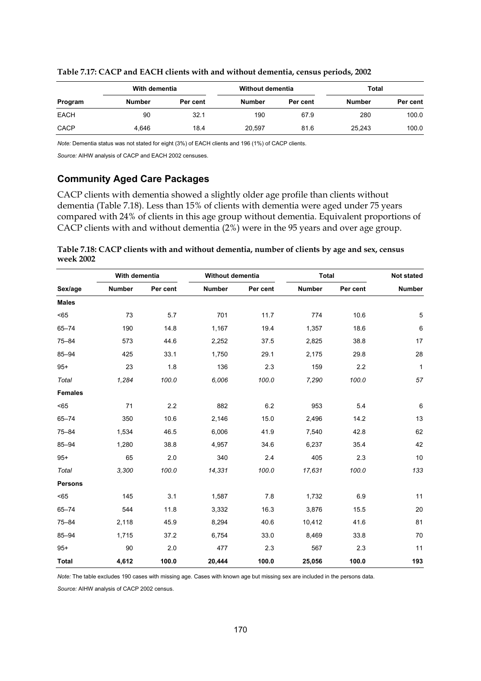|             | With dementia |          | Without dementia |          | Total         |          |
|-------------|---------------|----------|------------------|----------|---------------|----------|
| Program     | <b>Number</b> | Per cent | <b>Number</b>    | Per cent | <b>Number</b> | Per cent |
| <b>EACH</b> | 90            | 32.1     | 190              | 67.9     | 280           | 100.0    |
| <b>CACP</b> | 4.646         | 18.4     | 20,597           | 81.6     | 25,243        | 100.0    |

**Table 7.17: CACP and EACH clients with and without dementia, census periods, 2002** 

*Note:* Dementia status was not stated for eight (3%) of EACH clients and 196 (1%) of CACP clients.

*Source:* AIHW analysis of CACP and EACH 2002 censuses.

#### **Community Aged Care Packages**

CACP clients with dementia showed a slightly older age profile than clients without dementia (Table 7.18). Less than 15% of clients with dementia were aged under 75 years compared with 24% of clients in this age group without dementia. Equivalent proportions of CACP clients with and without dementia (2%) were in the 95 years and over age group.

|           | Table 7.18: CACP clients with and without dementia, number of clients by age and sex, census |  |  |
|-----------|----------------------------------------------------------------------------------------------|--|--|
| week 2002 |                                                                                              |  |  |

|                | With dementia |          | <b>Without dementia</b> |          | <b>Total</b>  |          | Not stated    |
|----------------|---------------|----------|-------------------------|----------|---------------|----------|---------------|
| Sex/age        | <b>Number</b> | Per cent | <b>Number</b>           | Per cent | <b>Number</b> | Per cent | <b>Number</b> |
| <b>Males</b>   |               |          |                         |          |               |          |               |
| $65$           | 73            | 5.7      | 701                     | 11.7     | 774           | 10.6     | 5             |
| $65 - 74$      | 190           | 14.8     | 1,167                   | 19.4     | 1,357         | 18.6     | 6             |
| $75 - 84$      | 573           | 44.6     | 2,252                   | 37.5     | 2,825         | 38.8     | 17            |
| $85 - 94$      | 425           | 33.1     | 1,750                   | 29.1     | 2,175         | 29.8     | 28            |
| $95+$          | 23            | 1.8      | 136                     | 2.3      | 159           | 2.2      | $\mathbf{1}$  |
| Total          | 1,284         | 100.0    | 6,006                   | 100.0    | 7,290         | 100.0    | 57            |
| <b>Females</b> |               |          |                         |          |               |          |               |
| $65$           | 71            | 2.2      | 882                     | 6.2      | 953           | 5.4      | 6             |
| $65 - 74$      | 350           | 10.6     | 2,146                   | 15.0     | 2,496         | 14.2     | 13            |
| $75 - 84$      | 1,534         | 46.5     | 6,006                   | 41.9     | 7,540         | 42.8     | 62            |
| $85 - 94$      | 1,280         | 38.8     | 4,957                   | 34.6     | 6,237         | 35.4     | 42            |
| $95+$          | 65            | 2.0      | 340                     | 2.4      | 405           | 2.3      | 10            |
| Total          | 3,300         | 100.0    | 14,331                  | 100.0    | 17,631        | 100.0    | 133           |
| <b>Persons</b> |               |          |                         |          |               |          |               |
| < 65           | 145           | 3.1      | 1,587                   | 7.8      | 1,732         | 6.9      | 11            |
| $65 - 74$      | 544           | 11.8     | 3,332                   | 16.3     | 3,876         | 15.5     | 20            |
| $75 - 84$      | 2,118         | 45.9     | 8,294                   | 40.6     | 10,412        | 41.6     | 81            |
| $85 - 94$      | 1,715         | 37.2     | 6,754                   | 33.0     | 8,469         | 33.8     | 70            |
| $95+$          | 90            | 2.0      | 477                     | 2.3      | 567           | 2.3      | 11            |
| <b>Total</b>   | 4,612         | 100.0    | 20.444                  | 100.0    | 25,056        | 100.0    | 193           |

*Note:* The table excludes 190 cases with missing age. Cases with known age but missing sex are included in the persons data.

*Source:* AIHW analysis of CACP 2002 census.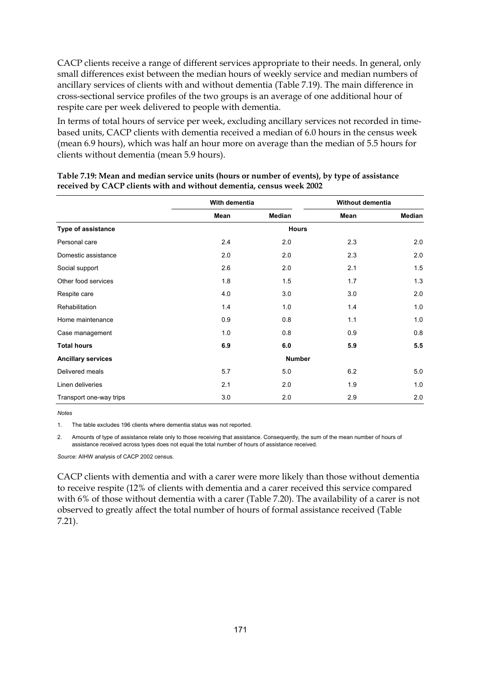CACP clients receive a range of different services appropriate to their needs. In general, only small differences exist between the median hours of weekly service and median numbers of ancillary services of clients with and without dementia (Table 7.19). The main difference in cross-sectional service profiles of the two groups is an average of one additional hour of respite care per week delivered to people with dementia.

In terms of total hours of service per week, excluding ancillary services not recorded in timebased units, CACP clients with dementia received a median of 6.0 hours in the census week (mean 6.9 hours), which was half an hour more on average than the median of 5.5 hours for clients without dementia (mean 5.9 hours).

|                           | With dementia |        |               | <b>Without dementia</b> |
|---------------------------|---------------|--------|---------------|-------------------------|
|                           | Mean          | Median | Mean          | <b>Median</b>           |
| Type of assistance        |               |        | <b>Hours</b>  |                         |
| Personal care             | 2.4           | 2.0    | 2.3           | 2.0                     |
| Domestic assistance       | 2.0           | 2.0    | 2.3           | 2.0                     |
| Social support            | 2.6           | 2.0    | 2.1           | 1.5                     |
| Other food services       | 1.8           | 1.5    | 1.7           | 1.3                     |
| Respite care              | 4.0           | 3.0    | 3.0           | 2.0                     |
| Rehabilitation            | 1.4           | 1.0    | 1.4           | 1.0                     |
| Home maintenance          | 0.9           | 0.8    | 1.1           | 1.0                     |
| Case management           | 1.0           | 0.8    | 0.9           | 0.8                     |
| <b>Total hours</b>        | 6.9           | 6.0    | 5.9           | 5.5                     |
| <b>Ancillary services</b> |               |        | <b>Number</b> |                         |
| Delivered meals           | 5.7           | 5.0    | 6.2           | 5.0                     |
| Linen deliveries          | 2.1           | 2.0    | 1.9           | 1.0                     |
| Transport one-way trips   | 3.0           | 2.0    | 2.9           | 2.0                     |

| Table 7.19: Mean and median service units (hours or number of events), by type of assistance |
|----------------------------------------------------------------------------------------------|
| received by CACP clients with and without dementia, census week 2002                         |

*Notes* 

1. The table excludes 196 clients where dementia status was not reported.

2. Amounts of type of assistance relate only to those receiving that assistance. Consequently, the sum of the mean number of hours of assistance received across types does not equal the total number of hours of assistance received.

*Source:* AIHW analysis of CACP 2002 census.

CACP clients with dementia and with a carer were more likely than those without dementia to receive respite (12% of clients with dementia and a carer received this service compared with 6% of those without dementia with a carer (Table 7.20). The availability of a carer is not observed to greatly affect the total number of hours of formal assistance received (Table 7.21).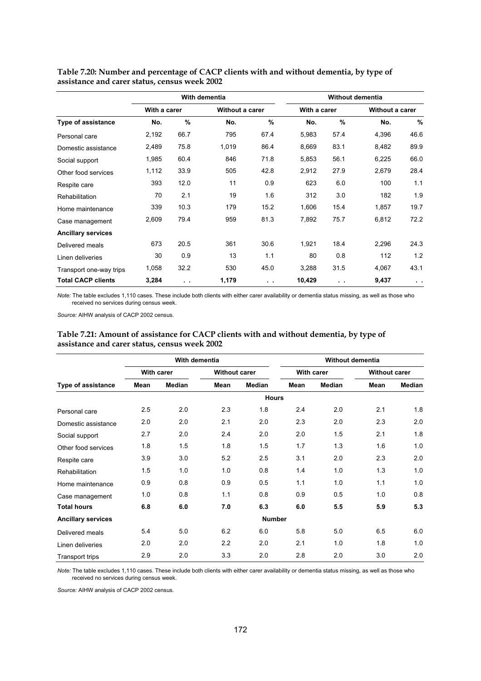|                           |              |               | With dementia          |               |              | <b>Without dementia</b> |                 |               |  |
|---------------------------|--------------|---------------|------------------------|---------------|--------------|-------------------------|-----------------|---------------|--|
|                           | With a carer |               | <b>Without a carer</b> |               | With a carer |                         | Without a carer |               |  |
| Type of assistance        | No.          | $\%$          | No.                    | $\frac{9}{6}$ | No.          | %                       | No.             | $\frac{0}{0}$ |  |
| Personal care             | 2,192        | 66.7          | 795                    | 67.4          | 5,983        | 57.4                    | 4,396           | 46.6          |  |
| Domestic assistance       | 2,489        | 75.8          | 1,019                  | 86.4          | 8,669        | 83.1                    | 8,482           | 89.9          |  |
| Social support            | 1,985        | 60.4          | 846                    | 71.8          | 5,853        | 56.1                    | 6,225           | 66.0          |  |
| Other food services       | 1,112        | 33.9          | 505                    | 42.8          | 2,912        | 27.9                    | 2,679           | 28.4          |  |
| Respite care              | 393          | 12.0          | 11                     | 0.9           | 623          | 6.0                     | 100             | 1.1           |  |
| <b>Rehabilitation</b>     | 70           | 2.1           | 19                     | 1.6           | 312          | 3.0                     | 182             | 1.9           |  |
| Home maintenance          | 339          | 10.3          | 179                    | 15.2          | 1,606        | 15.4                    | 1,857           | 19.7          |  |
| Case management           | 2,609        | 79.4          | 959                    | 81.3          | 7,892        | 75.7                    | 6,812           | 72.2          |  |
| <b>Ancillary services</b> |              |               |                        |               |              |                         |                 |               |  |
| Delivered meals           | 673          | 20.5          | 361                    | 30.6          | 1,921        | 18.4                    | 2,296           | 24.3          |  |
| Linen deliveries          | 30           | 0.9           | 13                     | 1.1           | 80           | 0.8                     | 112             | 1.2           |  |
| Transport one-way trips   | 1,058        | 32.2          | 530                    | 45.0          | 3,288        | 31.5                    | 4,067           | 43.1          |  |
| <b>Total CACP clients</b> | 3,284        | $\sim$ $\sim$ | 1,179                  | $\sim$ $\sim$ | 10,429       | $\sim$                  | 9,437           | $\sim$        |  |

**Table 7.20: Number and percentage of CACP clients with and without dementia, by type of assistance and carer status, census week 2002** 

*Note:* The table excludes 1,110 cases. These include both clients with either carer availability or dementia status missing, as well as those who received no services during census week.

*Source:* AIHW analysis of CACP 2002 census.

|                           |              | With dementia |                      |               | <b>Without dementia</b> |               |      |                      |  |
|---------------------------|--------------|---------------|----------------------|---------------|-------------------------|---------------|------|----------------------|--|
|                           | With carer   |               | <b>Without carer</b> |               |                         | With carer    |      | <b>Without carer</b> |  |
| <b>Type of assistance</b> | Mean         | <b>Median</b> | <b>Mean</b>          | <b>Median</b> | Mean                    | <b>Median</b> | Mean | <b>Median</b>        |  |
|                           | <b>Hours</b> |               |                      |               |                         |               |      |                      |  |
| Personal care             | 2.5          | 2.0           | 2.3                  | 1.8           | 2.4                     | 2.0           | 2.1  | 1.8                  |  |
| Domestic assistance       | 2.0          | 2.0           | 2.1                  | 2.0           | 2.3                     | 2.0           | 2.3  | 2.0                  |  |
| Social support            | 2.7          | 2.0           | 2.4                  | 2.0           | 2.0                     | 1.5           | 2.1  | 1.8                  |  |
| Other food services       | 1.8          | 1.5           | 1.8                  | 1.5           | 1.7                     | 1.3           | 1.6  | 1.0                  |  |
| Respite care              | 3.9          | 3.0           | 5.2                  | 2.5           | 3.1                     | 2.0           | 2.3  | 2.0                  |  |
| Rehabilitation            | 1.5          | 1.0           | 1.0                  | 0.8           | 1.4                     | 1.0           | 1.3  | 1.0                  |  |
| Home maintenance          | 0.9          | 0.8           | 0.9                  | 0.5           | 1.1                     | 1.0           | 1.1  | 1.0                  |  |
| Case management           | 1.0          | 0.8           | 1.1                  | 0.8           | 0.9                     | 0.5           | 1.0  | 0.8                  |  |
| <b>Total hours</b>        | 6.8          | 6.0           | 7.0                  | 6.3           | 6.0                     | 5.5           | 5.9  | 5.3                  |  |
| <b>Ancillary services</b> |              |               |                      | <b>Number</b> |                         |               |      |                      |  |
| Delivered meals           | 5.4          | 5.0           | 6.2                  | 6.0           | 5.8                     | 5.0           | 6.5  | 6.0                  |  |
| Linen deliveries          | 2.0          | 2.0           | 2.2                  | 2.0           | 2.1                     | 1.0           | 1.8  | 1.0                  |  |
| <b>Transport trips</b>    | 2.9          | 2.0           | 3.3                  | 2.0           | 2.8                     | 2.0           | 3.0  | 2.0                  |  |

#### **Table 7.21: Amount of assistance for CACP clients with and without dementia, by type of assistance and carer status, census week 2002**

*Note:* The table excludes 1,110 cases. These include both clients with either carer availability or dementia status missing, as well as those who received no services during census week.

*Source:* AIHW analysis of CACP 2002 census.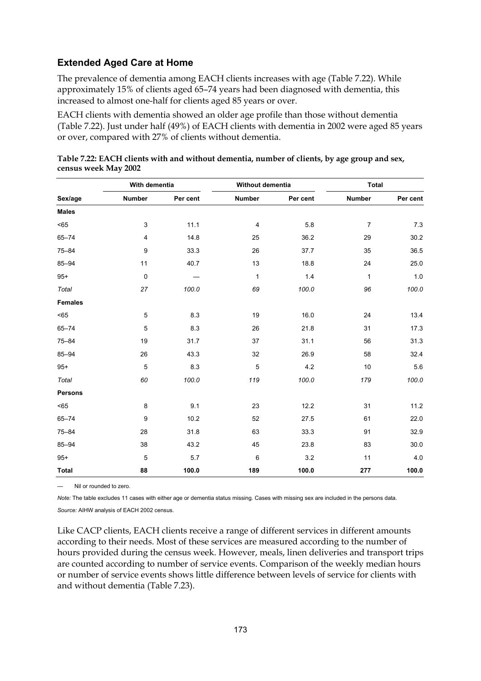### **Extended Aged Care at Home**

The prevalence of dementia among EACH clients increases with age (Table 7.22). While approximately 15% of clients aged 65–74 years had been diagnosed with dementia, this increased to almost one-half for clients aged 85 years or over.

EACH clients with dementia showed an older age profile than those without dementia (Table 7.22). Just under half (49%) of EACH clients with dementia in 2002 were aged 85 years or over, compared with 27% of clients without dementia.

|                | With dementia    |          | Without dementia |          | <b>Total</b>   |          |  |
|----------------|------------------|----------|------------------|----------|----------------|----------|--|
| Sex/age        | Number           | Per cent | <b>Number</b>    | Per cent | <b>Number</b>  | Per cent |  |
| <b>Males</b>   |                  |          |                  |          |                |          |  |
| $< 65$         | 3                | 11.1     | 4                | 5.8      | $\overline{7}$ | 7.3      |  |
| $65 - 74$      | 4                | 14.8     | 25               | 36.2     | 29             | 30.2     |  |
| $75 - 84$      | 9                | 33.3     | 26               | 37.7     | 35             | 36.5     |  |
| $85 - 94$      | 11               | 40.7     | 13               | 18.8     | 24             | 25.0     |  |
| $95+$          | $\pmb{0}$        |          | 1                | 1.4      | $\mathbf{1}$   | 1.0      |  |
| Total          | 27               | 100.0    | 69               | 100.0    | 96             | 100.0    |  |
| <b>Females</b> |                  |          |                  |          |                |          |  |
| $< 65$         | 5                | 8.3      | 19               | 16.0     | 24             | 13.4     |  |
| $65 - 74$      | $\mathbf 5$      | 8.3      | 26               | 21.8     | 31             | 17.3     |  |
| $75 - 84$      | 19               | 31.7     | 37               | 31.1     | 56             | 31.3     |  |
| $85 - 94$      | 26               | 43.3     | 32               | 26.9     | 58             | 32.4     |  |
| $95+$          | 5                | 8.3      | $\overline{5}$   | 4.2      | 10             | 5.6      |  |
| Total          | 60               | 100.0    | 119              | 100.0    | 179            | 100.0    |  |
| <b>Persons</b> |                  |          |                  |          |                |          |  |
| $65$           | 8                | 9.1      | 23               | 12.2     | 31             | 11.2     |  |
| $65 - 74$      | $\boldsymbol{9}$ | 10.2     | 52               | 27.5     | 61             | 22.0     |  |
| $75 - 84$      | 28               | 31.8     | 63               | 33.3     | 91             | 32.9     |  |
| $85 - 94$      | 38               | 43.2     | 45               | 23.8     | 83             | 30.0     |  |
| $95+$          | $\mathbf 5$      | 5.7      | $\,6\,$          | 3.2      | 11             | 4.0      |  |
| <b>Total</b>   | 88               | 100.0    | 189              | 100.0    | 277            | 100.0    |  |

|                      |  | Table 7.22: EACH clients with and without dementia, number of clients, by age group and sex, |
|----------------------|--|----------------------------------------------------------------------------------------------|
| census week May 2002 |  |                                                                                              |

— Nil or rounded to zero.

*Note:* The table excludes 11 cases with either age or dementia status missing. Cases with missing sex are included in the persons data.

*Source:* AIHW analysis of EACH 2002 census.

Like CACP clients, EACH clients receive a range of different services in different amounts according to their needs. Most of these services are measured according to the number of hours provided during the census week. However, meals, linen deliveries and transport trips are counted according to number of service events. Comparison of the weekly median hours or number of service events shows little difference between levels of service for clients with and without dementia (Table 7.23).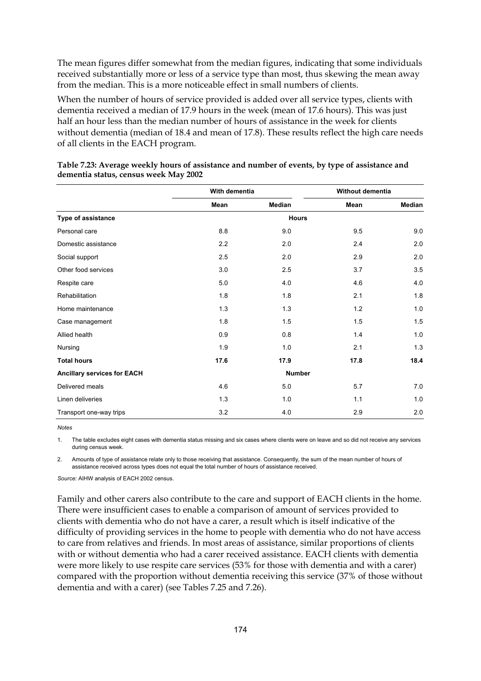The mean figures differ somewhat from the median figures, indicating that some individuals received substantially more or less of a service type than most, thus skewing the mean away from the median. This is a more noticeable effect in small numbers of clients.

When the number of hours of service provided is added over all service types, clients with dementia received a median of 17.9 hours in the week (mean of 17.6 hours). This was just half an hour less than the median number of hours of assistance in the week for clients without dementia (median of 18.4 and mean of 17.8). These results reflect the high care needs of all clients in the EACH program.

|                             | With dementia |               | Without dementia |               |
|-----------------------------|---------------|---------------|------------------|---------------|
|                             | Mean          | Median        | Mean             | <b>Median</b> |
| Type of assistance          |               | <b>Hours</b>  |                  |               |
| Personal care               | 8.8           | 9.0           | 9.5              | 9.0           |
| Domestic assistance         | 2.2           | 2.0           | 2.4              | 2.0           |
| Social support              | 2.5           | 2.0           | 2.9              | 2.0           |
| Other food services         | 3.0           | 2.5           | 3.7              | 3.5           |
| Respite care                | 5.0           | 4.0           | 4.6              | 4.0           |
| Rehabilitation              | 1.8           | 1.8           | 2.1              | 1.8           |
| Home maintenance            | 1.3           | 1.3           | 1.2              | 1.0           |
| Case management             | 1.8           | 1.5           | 1.5              | 1.5           |
| Allied health               | 0.9           | 0.8           | 1.4              | 1.0           |
| Nursing                     | 1.9           | 1.0           | 2.1              | 1.3           |
| <b>Total hours</b>          | 17.6          | 17.9          | 17.8             | 18.4          |
| Ancillary services for EACH |               | <b>Number</b> |                  |               |
| Delivered meals             | 4.6           | 5.0           | 5.7              | 7.0           |
| Linen deliveries            | 1.3           | 1.0           | 1.1              | 1.0           |
| Transport one-way trips     | 3.2           | 4.0           | 2.9              | 2.0           |

| Table 7.23: Average weekly hours of assistance and number of events, by type of assistance and |
|------------------------------------------------------------------------------------------------|
| dementia status, census week May 2002                                                          |

*Notes* 

1. The table excludes eight cases with dementia status missing and six cases where clients were on leave and so did not receive any services during census week.

2. Amounts of type of assistance relate only to those receiving that assistance. Consequently, the sum of the mean number of hours of assistance received across types does not equal the total number of hours of assistance received.

*Source:* AIHW analysis of EACH 2002 census.

Family and other carers also contribute to the care and support of EACH clients in the home. There were insufficient cases to enable a comparison of amount of services provided to clients with dementia who do not have a carer, a result which is itself indicative of the difficulty of providing services in the home to people with dementia who do not have access to care from relatives and friends. In most areas of assistance, similar proportions of clients with or without dementia who had a carer received assistance. EACH clients with dementia were more likely to use respite care services (53% for those with dementia and with a carer) compared with the proportion without dementia receiving this service (37% of those without dementia and with a carer) (see Tables 7.25 and 7.26).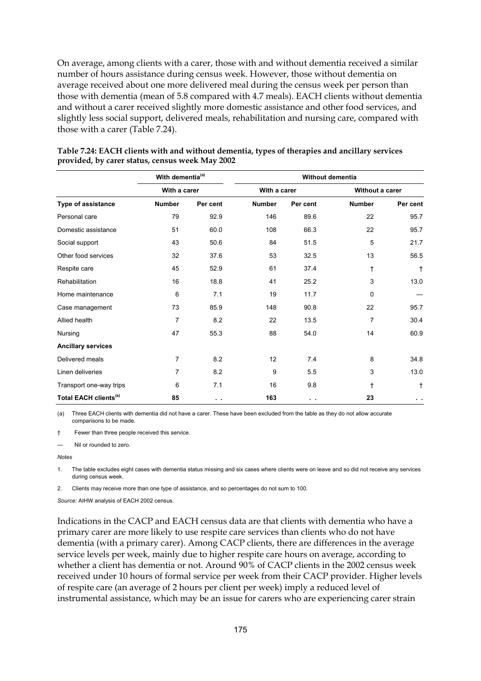On average, among clients with a carer, those with and without dementia received a similar number of hours assistance during census week. However, those without dementia on average received about one more delivered meal during the census week per person than those with dementia (mean of 5.8 compared with 4.7 meals). EACH clients without dementia and without a carer received slightly more domestic assistance and other food services, and slightly less social support, delivered meals, rehabilitation and nursing care, compared with those with a carer (Table 7.24).

|                                   | With dementia <sup>(a)</sup> |          |               | Without dementia |                 |               |
|-----------------------------------|------------------------------|----------|---------------|------------------|-----------------|---------------|
|                                   | With a carer                 |          | With a carer  |                  | Without a carer |               |
| Type of assistance                | <b>Number</b>                | Per cent | <b>Number</b> | Per cent         | <b>Number</b>   | Per cent      |
| Personal care                     | 79                           | 92.9     | 146           | 89.6             | 22              | 95.7          |
| Domestic assistance               | 51                           | 60.0     | 108           | 66.3             | 22              | 95.7          |
| Social support                    | 43                           | 50.6     | 84            | 51.5             | 5               | 21.7          |
| Other food services               | 32                           | 37.6     | 53            | 32.5             | 13              | 56.5          |
| Respite care                      | 45                           | 52.9     | 61            | 37.4             | t               | $\ddagger$    |
| Rehabilitation                    | 16                           | 18.8     | 41            | 25.2             | 3               | 13.0          |
| Home maintenance                  | 6                            | 7.1      | 19            | 11.7             | 0               |               |
| Case management                   | 73                           | 85.9     | 148           | 90.8             | 22              | 95.7          |
| Allied health                     | $\overline{7}$               | 8.2      | 22            | 13.5             | 7               | 30.4          |
| Nursing                           | 47                           | 55.3     | 88            | 54.0             | 14              | 60.9          |
| <b>Ancillary services</b>         |                              |          |               |                  |                 |               |
| Delivered meals                   | $\overline{7}$               | 8.2      | 12            | 7.4              | 8               | 34.8          |
| Linen deliveries                  | 7                            | 8.2      | 9             | 5.5              | 3               | 13.0          |
| Transport one-way trips           | 6                            | 7.1      | 16            | 9.8              | ŧ               | t             |
| Total EACH clients <sup>(a)</sup> | 85                           | $\sim$   | 163           | $\sim$ $\sim$    | 23              | $\sim$ $\sim$ |

| Table 7.24: EACH clients with and without dementia, types of therapies and ancillary services |
|-----------------------------------------------------------------------------------------------|
| provided, by carer status, census week May 2002                                               |

(a) Three EACH clients with dementia did not have a carer. These have been excluded from the table as they do not allow accurate comparisons to be made.

† Fewer than three people received this service.

Nil or rounded to zero.

*Notes* 

1. The table excludes eight cases with dementia status missing and six cases where clients were on leave and so did not receive any services during census week.

2. Clients may receive more than one type of assistance, and so percentages do not sum to 100.

*Source:* AIHW analysis of EACH 2002 census.

Indications in the CACP and EACH census data are that clients with dementia who have a primary carer are more likely to use respite care services than clients who do not have dementia (with a primary carer). Among CACP clients, there are differences in the average service levels per week, mainly due to higher respite care hours on average, according to whether a client has dementia or not. Around 90% of CACP clients in the 2002 census week received under 10 hours of formal service per week from their CACP provider. Higher levels of respite care (an average of 2 hours per client per week) imply a reduced level of instrumental assistance, which may be an issue for carers who are experiencing carer strain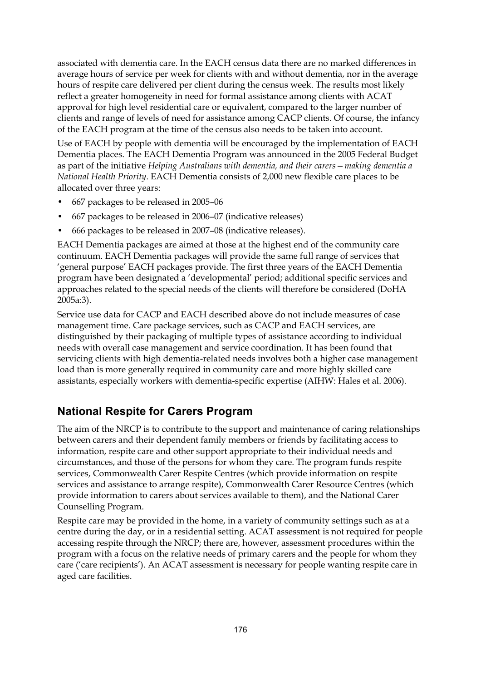associated with dementia care. In the EACH census data there are no marked differences in average hours of service per week for clients with and without dementia, nor in the average hours of respite care delivered per client during the census week. The results most likely reflect a greater homogeneity in need for formal assistance among clients with ACAT approval for high level residential care or equivalent, compared to the larger number of clients and range of levels of need for assistance among CACP clients. Of course, the infancy of the EACH program at the time of the census also needs to be taken into account.

Use of EACH by people with dementia will be encouraged by the implementation of EACH Dementia places. The EACH Dementia Program was announced in the 2005 Federal Budget as part of the initiative *Helping Australians with dementia, and their carers—making dementia a National Health Priority*. EACH Dementia consists of 2,000 new flexible care places to be allocated over three years:

- 667 packages to be released in 2005–06
- 667 packages to be released in 2006–07 (indicative releases)
- 666 packages to be released in 2007–08 (indicative releases).

EACH Dementia packages are aimed at those at the highest end of the community care continuum. EACH Dementia packages will provide the same full range of services that 'general purpose' EACH packages provide. The first three years of the EACH Dementia program have been designated a 'developmental' period; additional specific services and approaches related to the special needs of the clients will therefore be considered (DoHA 2005a:3).

Service use data for CACP and EACH described above do not include measures of case management time. Care package services, such as CACP and EACH services, are distinguished by their packaging of multiple types of assistance according to individual needs with overall case management and service coordination. It has been found that servicing clients with high dementia-related needs involves both a higher case management load than is more generally required in community care and more highly skilled care assistants, especially workers with dementia-specific expertise (AIHW: Hales et al. 2006).

## **National Respite for Carers Program**

The aim of the NRCP is to contribute to the support and maintenance of caring relationships between carers and their dependent family members or friends by facilitating access to information, respite care and other support appropriate to their individual needs and circumstances, and those of the persons for whom they care. The program funds respite services, Commonwealth Carer Respite Centres (which provide information on respite services and assistance to arrange respite), Commonwealth Carer Resource Centres (which provide information to carers about services available to them), and the National Carer Counselling Program.

Respite care may be provided in the home, in a variety of community settings such as at a centre during the day, or in a residential setting. ACAT assessment is not required for people accessing respite through the NRCP; there are, however, assessment procedures within the program with a focus on the relative needs of primary carers and the people for whom they care ('care recipients'). An ACAT assessment is necessary for people wanting respite care in aged care facilities.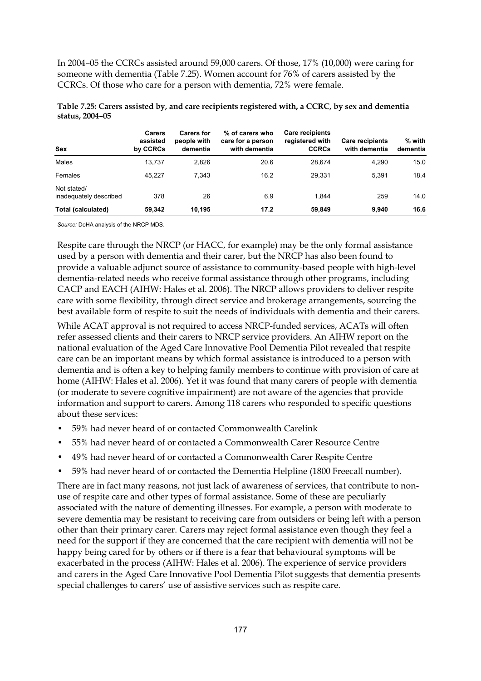In 2004–05 the CCRCs assisted around 59,000 carers. Of those, 17% (10,000) were caring for someone with dementia (Table 7.25). Women account for 76% of carers assisted by the CCRCs. Of those who care for a person with dementia, 72% were female.

| Sex                                   | <b>Carers</b><br>assisted<br>by CCRCs | <b>Carers for</b><br>people with<br>dementia | % of carers who<br>care for a person<br>with dementia | Care recipients<br>registered with<br><b>CCRCs</b> | <b>Care recipients</b><br>with dementia | $%$ with<br>dementia |
|---------------------------------------|---------------------------------------|----------------------------------------------|-------------------------------------------------------|----------------------------------------------------|-----------------------------------------|----------------------|
| Males                                 | 13.737                                | 2.826                                        | 20.6                                                  | 28.674                                             | 4.290                                   | 15.0                 |
| Females                               | 45.227                                | 7.343                                        | 16.2                                                  | 29.331                                             | 5.391                                   | 18.4                 |
| Not stated/<br>inadequately described | 378                                   | 26                                           | 6.9                                                   | 1.844                                              | 259                                     | 14.0                 |
| <b>Total (calculated)</b>             | 59,342                                | 10.195                                       | 17.2                                                  | 59,849                                             | 9,940                                   | 16.6                 |

**Table 7.25: Carers assisted by, and care recipients registered with, a CCRC, by sex and dementia status, 2004–05** 

*Source:* DoHA analysis of the NRCP MDS.

Respite care through the NRCP (or HACC, for example) may be the only formal assistance used by a person with dementia and their carer, but the NRCP has also been found to provide a valuable adjunct source of assistance to community-based people with high-level dementia-related needs who receive formal assistance through other programs, including CACP and EACH (AIHW: Hales et al. 2006). The NRCP allows providers to deliver respite care with some flexibility, through direct service and brokerage arrangements, sourcing the best available form of respite to suit the needs of individuals with dementia and their carers.

While ACAT approval is not required to access NRCP-funded services, ACATs will often refer assessed clients and their carers to NRCP service providers. An AIHW report on the national evaluation of the Aged Care Innovative Pool Dementia Pilot revealed that respite care can be an important means by which formal assistance is introduced to a person with dementia and is often a key to helping family members to continue with provision of care at home (AIHW: Hales et al. 2006). Yet it was found that many carers of people with dementia (or moderate to severe cognitive impairment) are not aware of the agencies that provide information and support to carers. Among 118 carers who responded to specific questions about these services:

- 59% had never heard of or contacted Commonwealth Carelink
- 55% had never heard of or contacted a Commonwealth Carer Resource Centre
- 49% had never heard of or contacted a Commonwealth Carer Respite Centre
- 59% had never heard of or contacted the Dementia Helpline (1800 Freecall number).

There are in fact many reasons, not just lack of awareness of services, that contribute to nonuse of respite care and other types of formal assistance. Some of these are peculiarly associated with the nature of dementing illnesses. For example, a person with moderate to severe dementia may be resistant to receiving care from outsiders or being left with a person other than their primary carer. Carers may reject formal assistance even though they feel a need for the support if they are concerned that the care recipient with dementia will not be happy being cared for by others or if there is a fear that behavioural symptoms will be exacerbated in the process (AIHW: Hales et al. 2006). The experience of service providers and carers in the Aged Care Innovative Pool Dementia Pilot suggests that dementia presents special challenges to carers' use of assistive services such as respite care.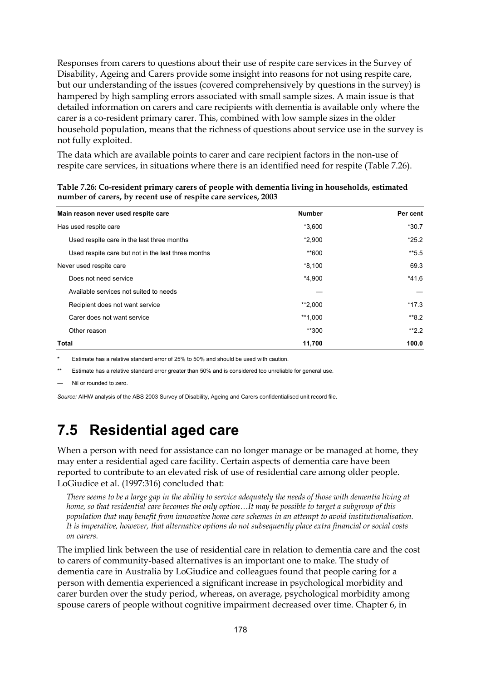Responses from carers to questions about their use of respite care services in the Survey of Disability, Ageing and Carers provide some insight into reasons for not using respite care, but our understanding of the issues (covered comprehensively by questions in the survey) is hampered by high sampling errors associated with small sample sizes. A main issue is that detailed information on carers and care recipients with dementia is available only where the carer is a co-resident primary carer. This, combined with low sample sizes in the older household population, means that the richness of questions about service use in the survey is not fully exploited.

The data which are available points to carer and care recipient factors in the non-use of respite care services, in situations where there is an identified need for respite (Table 7.26).

| Main reason never used respite care                | <b>Number</b> | Per cent |
|----------------------------------------------------|---------------|----------|
| Has used respite care                              | $*3,600$      | $*30.7$  |
| Used respite care in the last three months         | $*2,900$      | $*25.2$  |
| Used respite care but not in the last three months | **600         | $*5.5$   |
| Never used respite care                            | $*8,100$      | 69.3     |
| Does not need service                              | $*4,900$      | $*41.6$  |
| Available services not suited to needs             |               |          |
| Recipient does not want service                    | **2,000       | $*17.3$  |
| Carer does not want service                        | **1.000       | $*8.2$   |
| Other reason                                       | **300         | $*2.2$   |
| <b>Total</b>                                       | 11,700        | 100.0    |

**Table 7.26: Co-resident primary carers of people with dementia living in households, estimated number of carers, by recent use of respite care services, 2003** 

Estimate has a relative standard error of 25% to 50% and should be used with caution.

\*\* Estimate has a relative standard error greater than 50% and is considered too unreliable for general use.

Nil or rounded to zero.

*Source:* AIHW analysis of the ABS 2003 Survey of Disability, Ageing and Carers confidentialised unit record file.

## **7.5 Residential aged care**

When a person with need for assistance can no longer manage or be managed at home, they may enter a residential aged care facility. Certain aspects of dementia care have been reported to contribute to an elevated risk of use of residential care among older people. LoGiudice et al. (1997:316) concluded that:

*There seems to be a large gap in the ability to service adequately the needs of those with dementia living at home, so that residential care becomes the only option…It may be possible to target a subgroup of this population that may benefit from innovative home care schemes in an attempt to avoid institutionalisation. It is imperative, however, that alternative options do not subsequently place extra financial or social costs on carers.* 

The implied link between the use of residential care in relation to dementia care and the cost to carers of community-based alternatives is an important one to make. The study of dementia care in Australia by LoGiudice and colleagues found that people caring for a person with dementia experienced a significant increase in psychological morbidity and carer burden over the study period, whereas, on average, psychological morbidity among spouse carers of people without cognitive impairment decreased over time. Chapter 6, in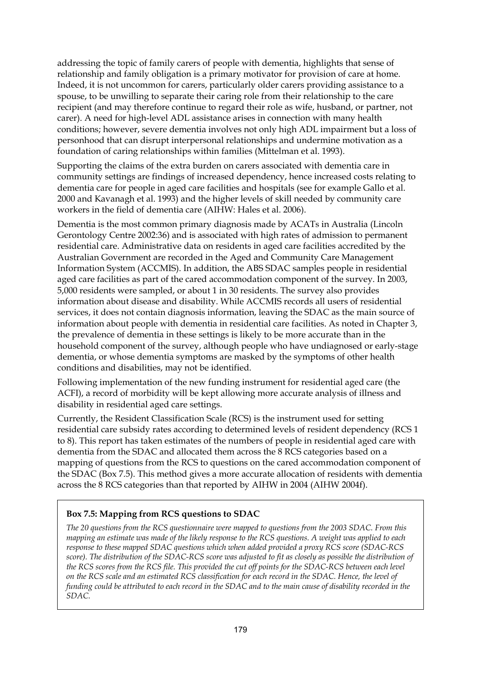addressing the topic of family carers of people with dementia, highlights that sense of relationship and family obligation is a primary motivator for provision of care at home. Indeed, it is not uncommon for carers, particularly older carers providing assistance to a spouse, to be unwilling to separate their caring role from their relationship to the care recipient (and may therefore continue to regard their role as wife, husband, or partner, not carer). A need for high-level ADL assistance arises in connection with many health conditions; however, severe dementia involves not only high ADL impairment but a loss of personhood that can disrupt interpersonal relationships and undermine motivation as a foundation of caring relationships within families (Mittelman et al. 1993).

Supporting the claims of the extra burden on carers associated with dementia care in community settings are findings of increased dependency, hence increased costs relating to dementia care for people in aged care facilities and hospitals (see for example Gallo et al. 2000 and Kavanagh et al. 1993) and the higher levels of skill needed by community care workers in the field of dementia care (AIHW: Hales et al. 2006).

Dementia is the most common primary diagnosis made by ACATs in Australia (Lincoln Gerontology Centre 2002:36) and is associated with high rates of admission to permanent residential care. Administrative data on residents in aged care facilities accredited by the Australian Government are recorded in the Aged and Community Care Management Information System (ACCMIS). In addition, the ABS SDAC samples people in residential aged care facilities as part of the cared accommodation component of the survey. In 2003, 5,000 residents were sampled, or about 1 in 30 residents. The survey also provides information about disease and disability. While ACCMIS records all users of residential services, it does not contain diagnosis information, leaving the SDAC as the main source of information about people with dementia in residential care facilities. As noted in Chapter 3, the prevalence of dementia in these settings is likely to be more accurate than in the household component of the survey, although people who have undiagnosed or early-stage dementia, or whose dementia symptoms are masked by the symptoms of other health conditions and disabilities, may not be identified.

Following implementation of the new funding instrument for residential aged care (the ACFI), a record of morbidity will be kept allowing more accurate analysis of illness and disability in residential aged care settings.

Currently, the Resident Classification Scale (RCS) is the instrument used for setting residential care subsidy rates according to determined levels of resident dependency (RCS 1 to 8). This report has taken estimates of the numbers of people in residential aged care with dementia from the SDAC and allocated them across the 8 RCS categories based on a mapping of questions from the RCS to questions on the cared accommodation component of the SDAC (Box 7.5). This method gives a more accurate allocation of residents with dementia across the 8 RCS categories than that reported by AIHW in 2004 (AIHW 2004f).

#### **Box 7.5: Mapping from RCS questions to SDAC**

*The 20 questions from the RCS questionnaire were mapped to questions from the 2003 SDAC. From this mapping an estimate was made of the likely response to the RCS questions. A weight was applied to each response to these mapped SDAC questions which when added provided a proxy RCS score (SDAC-RCS*  score). The distribution of the SDAC-RCS score was adjusted to fit as closely as possible the distribution of *the RCS scores from the RCS file. This provided the cut off points for the SDAC-RCS between each level on the RCS scale and an estimated RCS classification for each record in the SDAC. Hence, the level of funding could be attributed to each record in the SDAC and to the main cause of disability recorded in the SDAC.*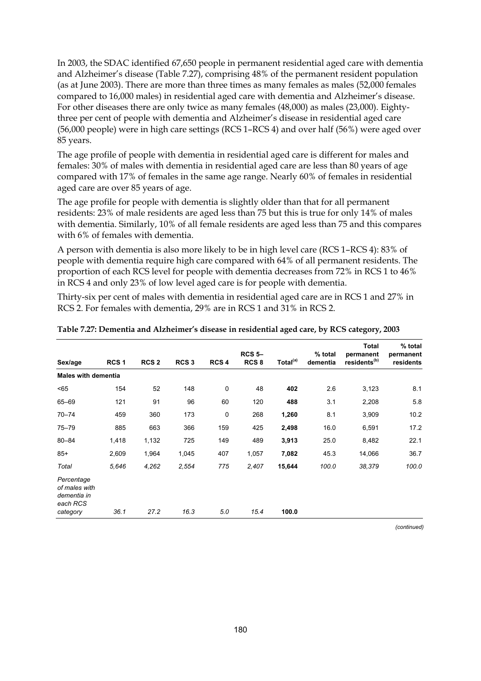In 2003, the SDAC identified 67,650 people in permanent residential aged care with dementia and Alzheimer's disease (Table 7.27), comprising 48% of the permanent resident population (as at June 2003). There are more than three times as many females as males (52,000 females compared to 16,000 males) in residential aged care with dementia and Alzheimer's disease. For other diseases there are only twice as many females (48,000) as males (23,000). Eightythree per cent of people with dementia and Alzheimer's disease in residential aged care (56,000 people) were in high care settings (RCS 1–RCS 4) and over half (56%) were aged over 85 years.

The age profile of people with dementia in residential aged care is different for males and females: 30% of males with dementia in residential aged care are less than 80 years of age compared with 17% of females in the same age range. Nearly 60% of females in residential aged care are over 85 years of age.

The age profile for people with dementia is slightly older than that for all permanent residents: 23% of male residents are aged less than 75 but this is true for only 14% of males with dementia. Similarly, 10% of all female residents are aged less than 75 and this compares with 6% of females with dementia.

A person with dementia is also more likely to be in high level care (RCS 1–RCS 4): 83% of people with dementia require high care compared with 64% of all permanent residents. The proportion of each RCS level for people with dementia decreases from 72% in RCS 1 to 46% in RCS 4 and only 23% of low level aged care is for people with dementia.

Thirty-six per cent of males with dementia in residential aged care are in RCS 1 and 27% in RCS 2. For females with dementia, 29% are in RCS 1 and 31% in RCS 2.

| Sex/age                                                            | RCS <sub>1</sub> | RCS <sub>2</sub> | RCS <sub>3</sub> | RCS <sub>4</sub> | RCS <sub>5</sub><br>RCS <sub>8</sub> | Total <sup>(a)</sup> | % total<br>dementia | Total<br>permanent<br>residents <sup>(b)</sup> | % total<br>permanent<br>residents |
|--------------------------------------------------------------------|------------------|------------------|------------------|------------------|--------------------------------------|----------------------|---------------------|------------------------------------------------|-----------------------------------|
| <b>Males with dementia</b>                                         |                  |                  |                  |                  |                                      |                      |                     |                                                |                                   |
| < 65                                                               | 154              | 52               | 148              | 0                | 48                                   | 402                  | 2.6                 | 3,123                                          | 8.1                               |
| 65-69                                                              | 121              | 91               | 96               | 60               | 120                                  | 488                  | 3.1                 | 2,208                                          | 5.8                               |
| $70 - 74$                                                          | 459              | 360              | 173              | 0                | 268                                  | 1,260                | 8.1                 | 3,909                                          | 10.2                              |
| $75 - 79$                                                          | 885              | 663              | 366              | 159              | 425                                  | 2,498                | 16.0                | 6,591                                          | 17.2                              |
| $80 - 84$                                                          | 1,418            | 1,132            | 725              | 149              | 489                                  | 3,913                | 25.0                | 8,482                                          | 22.1                              |
| $85+$                                                              | 2,609            | 1,964            | 1,045            | 407              | 1,057                                | 7,082                | 45.3                | 14,066                                         | 36.7                              |
| Total                                                              | 5,646            | 4,262            | 2,554            | 775              | 2,407                                | 15,644               | 100.0               | 38,379                                         | 100.0                             |
| Percentage<br>of males with<br>dementia in<br>each RCS<br>category | 36.1             | 27.2             | 16.3             | 5.0              | 15.4                                 | 100.0                |                     |                                                |                                   |

| Table 7.27: Dementia and Alzheimer's disease in residential aged care, by RCS category, 2003 |  |  |  |
|----------------------------------------------------------------------------------------------|--|--|--|
|                                                                                              |  |  |  |

*(continued)*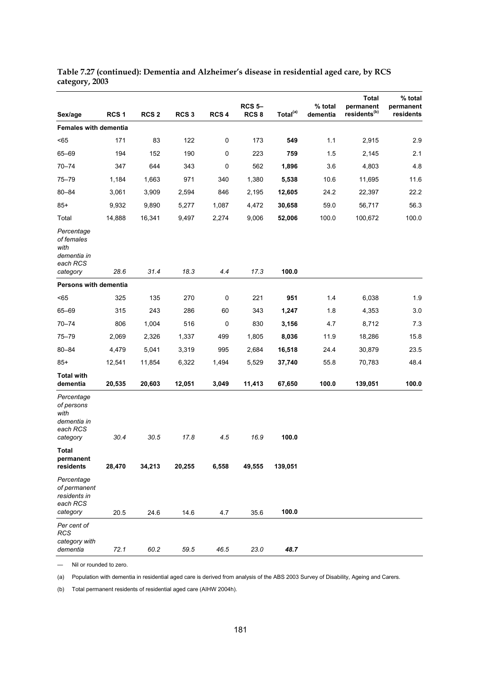| Sex/age                                                                 | RCS <sub>1</sub> | RCS <sub>2</sub> | RCS <sub>3</sub> | RCS 4 | <b>RCS 5-</b><br>RCS <sub>8</sub> | Total <sup>(a)</sup> | % total<br>dementia | <b>Total</b><br>permanent<br>residents <sup>(b)</sup> | % total<br>permanent<br>residents |
|-------------------------------------------------------------------------|------------------|------------------|------------------|-------|-----------------------------------|----------------------|---------------------|-------------------------------------------------------|-----------------------------------|
| <b>Females with dementia</b>                                            |                  |                  |                  |       |                                   |                      |                     |                                                       |                                   |
| < 65                                                                    | 171              | 83               | 122              | 0     | 173                               | 549                  | 1.1                 | 2,915                                                 | 2.9                               |
| 65-69                                                                   | 194              | 152              | 190              | 0     | 223                               | 759                  | 1.5                 | 2,145                                                 | 2.1                               |
|                                                                         |                  | 644              |                  | 0     |                                   |                      | 3.6                 |                                                       |                                   |
| $70 - 74$<br>$75 - 79$                                                  | 347              |                  | 343              |       | 562                               | 1,896                |                     | 4,803                                                 | 4.8                               |
|                                                                         | 1,184            | 1,663            | 971              | 340   | 1,380                             | 5,538                | 10.6                | 11,695                                                | 11.6                              |
| $80 - 84$                                                               | 3,061            | 3,909            | 2,594            | 846   | 2,195                             | 12,605               | 24.2                | 22,397                                                | 22.2                              |
| $85+$                                                                   | 9,932            | 9,890            | 5,277            | 1,087 | 4,472                             | 30,658               | 59.0                | 56,717                                                | 56.3                              |
| Total                                                                   | 14,888           | 16,341           | 9,497            | 2,274 | 9,006                             | 52,006               | 100.0               | 100,672                                               | 100.0                             |
| Percentage<br>of females<br>with<br>dementia in<br>each RCS<br>category | 28.6             | 31.4             | 18.3             | 4.4   | 17.3                              | 100.0                |                     |                                                       |                                   |
| Persons with dementia                                                   |                  |                  |                  |       |                                   |                      |                     |                                                       |                                   |
| < 65                                                                    | 325              | 135              | 270              | 0     | 221                               | 951                  | 1.4                 | 6,038                                                 | 1.9                               |
| 65-69                                                                   | 315              | 243              | 286              | 60    | 343                               | 1,247                | 1.8                 | 4,353                                                 | 3.0                               |
| $70 - 74$                                                               | 806              | 1,004            | 516              | 0     | 830                               | 3,156                | 4.7                 | 8,712                                                 | 7.3                               |
| 75–79                                                                   | 2,069            | 2,326            | 1,337            | 499   | 1,805                             | 8,036                | 11.9                | 18,286                                                | 15.8                              |
| $80 - 84$                                                               | 4,479            | 5,041            | 3,319            | 995   | 2,684                             | 16,518               | 24.4                | 30,879                                                | 23.5                              |
| $85+$                                                                   | 12,541           | 11,854           | 6,322            | 1,494 | 5,529                             | 37,740               | 55.8                | 70,783                                                | 48.4                              |
| <b>Total with</b><br>dementia                                           | 20,535           | 20,603           | 12,051           | 3,049 | 11,413                            | 67,650               | 100.0               | 139,051                                               | 100.0                             |
| Percentage<br>of persons<br>with<br>dementia in<br>each RCS<br>category | 30.4             | 30.5             | 17.8             | 4.5   | 16.9                              | 100.0                |                     |                                                       |                                   |
| <b>Total</b><br>permanent<br>residents                                  | 28,470           | 34,213           | 20,255           | 6,558 | 49,555                            | 139,051              |                     |                                                       |                                   |
| Percentage<br>of permanent<br>residents in<br>each RCS<br>category      | 20.5             | 24.6             | 14.6             | 4.7   | 35.6                              | 100.0                |                     |                                                       |                                   |
| Per cent of<br><b>RCS</b><br>category with<br>dementia                  | 72.1             | 60.2             | 59.5             | 46.5  | 23.0                              | 48.7                 |                     |                                                       |                                   |

**Table 7.27 (continued): Dementia and Alzheimer's disease in residential aged care, by RCS category, 2003** 

— Nil or rounded to zero.

(a) Population with dementia in residential aged care is derived from analysis of the ABS 2003 Survey of Disability, Ageing and Carers.

(b) Total permanent residents of residential aged care (AIHW 2004h).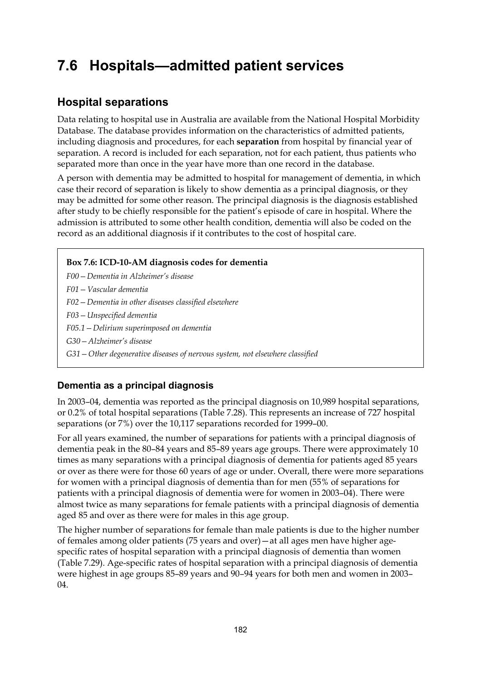## **7.6 Hospitals—admitted patient services**

## **Hospital separations**

Data relating to hospital use in Australia are available from the National Hospital Morbidity Database. The database provides information on the characteristics of admitted patients, including diagnosis and procedures, for each **separation** from hospital by financial year of separation. A record is included for each separation, not for each patient, thus patients who separated more than once in the year have more than one record in the database.

A person with dementia may be admitted to hospital for management of dementia, in which case their record of separation is likely to show dementia as a principal diagnosis, or they may be admitted for some other reason. The principal diagnosis is the diagnosis established after study to be chiefly responsible for the patient's episode of care in hospital. Where the admission is attributed to some other health condition, dementia will also be coded on the record as an additional diagnosis if it contributes to the cost of hospital care.

#### **Box 7.6: ICD-10-AM diagnosis codes for dementia**

*F00—Dementia in Alzheimer's disease F01—Vascular dementia F02—Dementia in other diseases classified elsewhere F03—Unspecified dementia F05.1—Delirium superimposed on dementia G30—Alzheimer's disease G31—Other degenerative diseases of nervous system, not elsewhere classified* 

### **Dementia as a principal diagnosis**

In 2003–04, dementia was reported as the principal diagnosis on 10,989 hospital separations, or 0.2% of total hospital separations (Table 7.28). This represents an increase of 727 hospital separations (or 7%) over the 10,117 separations recorded for 1999–00.

For all years examined, the number of separations for patients with a principal diagnosis of dementia peak in the 80–84 years and 85–89 years age groups. There were approximately 10 times as many separations with a principal diagnosis of dementia for patients aged 85 years or over as there were for those 60 years of age or under. Overall, there were more separations for women with a principal diagnosis of dementia than for men (55% of separations for patients with a principal diagnosis of dementia were for women in 2003–04). There were almost twice as many separations for female patients with a principal diagnosis of dementia aged 85 and over as there were for males in this age group.

The higher number of separations for female than male patients is due to the higher number of females among older patients (75 years and over)—at all ages men have higher agespecific rates of hospital separation with a principal diagnosis of dementia than women (Table 7.29). Age-specific rates of hospital separation with a principal diagnosis of dementia were highest in age groups 85–89 years and 90–94 years for both men and women in 2003– 04.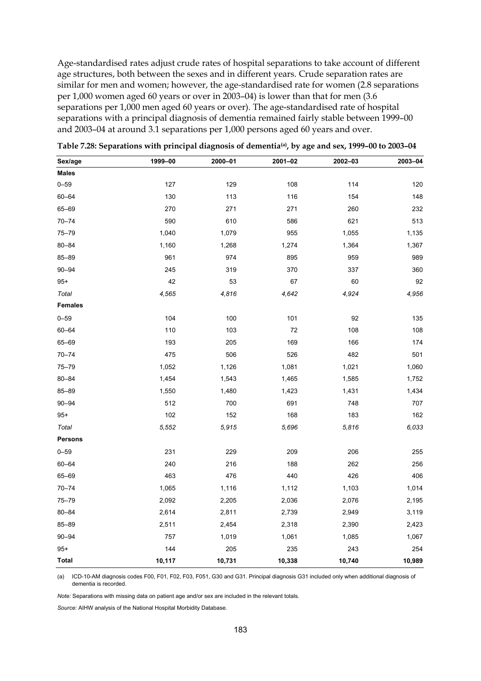Age-standardised rates adjust crude rates of hospital separations to take account of different age structures, both between the sexes and in different years. Crude separation rates are similar for men and women; however, the age-standardised rate for women (2.8 separations per 1,000 women aged 60 years or over in 2003–04) is lower than that for men (3.6 separations per 1,000 men aged 60 years or over). The age-standardised rate of hospital separations with a principal diagnosis of dementia remained fairly stable between 1999–00 and 2003–04 at around 3.1 separations per 1,000 persons aged 60 years and over.

| Sex/age        | 1999-00 | 2000-01 | 2001-02 | 2002-03 | 2003-04 |
|----------------|---------|---------|---------|---------|---------|
| <b>Males</b>   |         |         |         |         |         |
| $0 - 59$       | 127     | 129     | 108     | 114     | 120     |
| $60 - 64$      | 130     | 113     | 116     | 154     | 148     |
| $65 - 69$      | 270     | 271     | 271     | 260     | 232     |
| $70 - 74$      | 590     | 610     | 586     | 621     | 513     |
| $75 - 79$      | 1,040   | 1,079   | 955     | 1,055   | 1,135   |
| $80 - 84$      | 1,160   | 1,268   | 1,274   | 1,364   | 1,367   |
| $85 - 89$      | 961     | 974     | 895     | 959     | 989     |
| $90 - 94$      | 245     | 319     | 370     | 337     | 360     |
| $95+$          | 42      | 53      | 67      | 60      | 92      |
| Total          | 4,565   | 4,816   | 4,642   | 4,924   | 4,956   |
| <b>Females</b> |         |         |         |         |         |
| $0 - 59$       | 104     | 100     | 101     | 92      | 135     |
| $60 - 64$      | 110     | 103     | 72      | 108     | 108     |
| 65-69          | 193     | 205     | 169     | 166     | 174     |
| $70 - 74$      | 475     | 506     | 526     | 482     | 501     |
| $75 - 79$      | 1,052   | 1,126   | 1,081   | 1,021   | 1,060   |
| $80 - 84$      | 1,454   | 1,543   | 1,465   | 1,585   | 1,752   |
| $85 - 89$      | 1,550   | 1,480   | 1,423   | 1,431   | 1,434   |
| $90 - 94$      | 512     | 700     | 691     | 748     | 707     |
| $95+$          | 102     | 152     | 168     | 183     | 162     |
| Total          | 5,552   | 5,915   | 5,696   | 5,816   | 6,033   |
| <b>Persons</b> |         |         |         |         |         |
| $0 - 59$       | 231     | 229     | 209     | 206     | 255     |
| 60-64          | 240     | 216     | 188     | 262     | 256     |
| 65-69          | 463     | 476     | 440     | 426     | 406     |
| $70 - 74$      | 1,065   | 1,116   | 1,112   | 1,103   | 1,014   |
| 75-79          | 2,092   | 2,205   | 2,036   | 2,076   | 2,195   |
| $80 - 84$      | 2,614   | 2,811   | 2,739   | 2,949   | 3,119   |
| 85-89          | 2,511   | 2,454   | 2,318   | 2,390   | 2,423   |
| $90 - 94$      | 757     | 1,019   | 1,061   | 1,085   | 1,067   |
| $95+$          | 144     | 205     | 235     | 243     | 254     |
| Total          | 10,117  | 10,731  | 10,338  | 10,740  | 10,989  |

**Table 7.28: Separations with principal diagnosis of dementia(a), by age and sex, 1999–00 to 2003–04** 

(a) ICD-10-AM diagnosis codes F00, F01, F02, F03, F051, G30 and G31. Principal diagnosis G31 included only when additional diagnosis of dementia is recorded.

*Note:* Separations with missing data on patient age and/or sex are included in the relevant totals.

*Source:* AIHW analysis of the National Hospital Morbidity Database.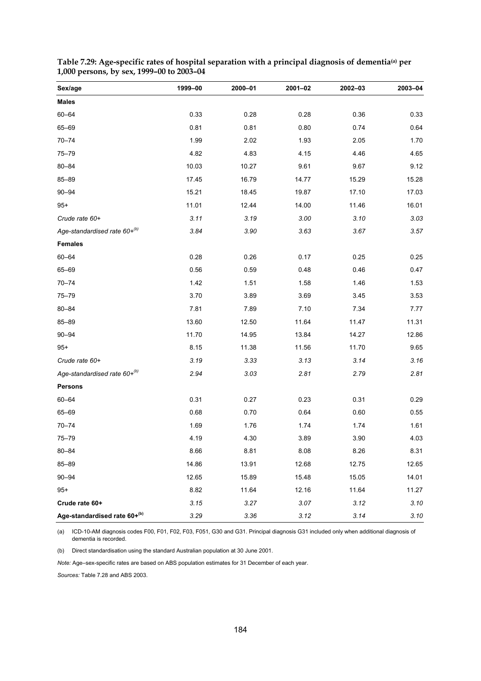| Sex/age                      | 1999-00 | 2000-01 | 2001-02 | 2002-03 | 2003-04 |
|------------------------------|---------|---------|---------|---------|---------|
| <b>Males</b>                 |         |         |         |         |         |
| $60 - 64$                    | 0.33    | 0.28    | 0.28    | 0.36    | 0.33    |
| 65-69                        | 0.81    | 0.81    | 0.80    | 0.74    | 0.64    |
| $70 - 74$                    | 1.99    | 2.02    | 1.93    | 2.05    | 1.70    |
| $75 - 79$                    | 4.82    | 4.83    | 4.15    | 4.46    | 4.65    |
| $80 - 84$                    | 10.03   | 10.27   | 9.61    | 9.67    | 9.12    |
| 85-89                        | 17.45   | 16.79   | 14.77   | 15.29   | 15.28   |
| $90 - 94$                    | 15.21   | 18.45   | 19.87   | 17.10   | 17.03   |
| $95+$                        | 11.01   | 12.44   | 14.00   | 11.46   | 16.01   |
| Crude rate 60+               | 3.11    | 3.19    | 3.00    | 3.10    | 3.03    |
| Age-standardised rate 60+(b) | 3.84    | 3.90    | 3.63    | 3.67    | 3.57    |
| <b>Females</b>               |         |         |         |         |         |
| $60 - 64$                    | 0.28    | 0.26    | 0.17    | 0.25    | 0.25    |
| 65-69                        | 0.56    | 0.59    | 0.48    | 0.46    | 0.47    |
| $70 - 74$                    | 1.42    | 1.51    | 1.58    | 1.46    | 1.53    |
| $75 - 79$                    | 3.70    | 3.89    | 3.69    | 3.45    | 3.53    |
| $80 - 84$                    | 7.81    | 7.89    | 7.10    | 7.34    | 7.77    |
| 85-89                        | 13.60   | 12.50   | 11.64   | 11.47   | 11.31   |
| $90 - 94$                    | 11.70   | 14.95   | 13.84   | 14.27   | 12.86   |
| $95+$                        | 8.15    | 11.38   | 11.56   | 11.70   | 9.65    |
| Crude rate 60+               | 3.19    | 3.33    | 3.13    | 3.14    | 3.16    |
| Age-standardised rate 60+(b) | 2.94    | 3.03    | 2.81    | 2.79    | 2.81    |
| <b>Persons</b>               |         |         |         |         |         |
| $60 - 64$                    | 0.31    | 0.27    | 0.23    | 0.31    | 0.29    |
| 65-69                        | 0.68    | 0.70    | 0.64    | 0.60    | 0.55    |
| $70 - 74$                    | 1.69    | 1.76    | 1.74    | 1.74    | 1.61    |
| $75 - 79$                    | 4.19    | 4.30    | 3.89    | 3.90    | 4.03    |
| 80-84                        | 8.66    | 8.81    | 8.08    | 8.26    | 8.31    |
| 85-89                        | 14.86   | 13.91   | 12.68   | 12.75   | 12.65   |
| $90 - 94$                    | 12.65   | 15.89   | 15.48   | 15.05   | 14.01   |
| $95+$                        | 8.82    | 11.64   | 12.16   | 11.64   | 11.27   |
| Crude rate 60+               | 3.15    | 3.27    | 3.07    | 3.12    | 3.10    |
| Age-standardised rate 60+(b) | 3.29    | 3.36    | 3.12    | 3.14    | 3.10    |

**Table 7.29: Age-specific rates of hospital separation with a principal diagnosis of dementia(a) per 1,000 persons, by sex, 1999–00 to 2003–04** 

(a) ICD-10-AM diagnosis codes F00, F01, F02, F03, F051, G30 and G31. Principal diagnosis G31 included only when additional diagnosis of dementia is recorded.

(b) Direct standardisation using the standard Australian population at 30 June 2001.

*Note:* Age–sex-specific rates are based on ABS population estimates for 31 December of each year.

*Sources:* Table 7.28 and ABS 2003.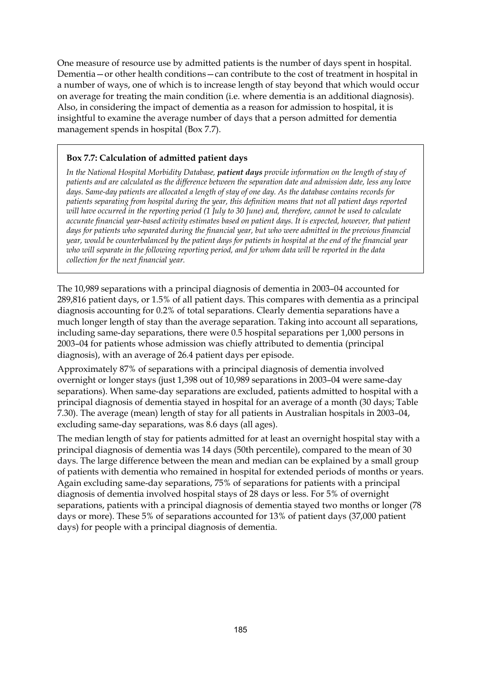One measure of resource use by admitted patients is the number of days spent in hospital. Dementia—or other health conditions—can contribute to the cost of treatment in hospital in a number of ways, one of which is to increase length of stay beyond that which would occur on average for treating the main condition (i.e. where dementia is an additional diagnosis). Also, in considering the impact of dementia as a reason for admission to hospital, it is insightful to examine the average number of days that a person admitted for dementia management spends in hospital (Box 7.7).

#### **Box 7.7: Calculation of admitted patient days**

*In the National Hospital Morbidity Database, patient days provide information on the length of stay of patients and are calculated as the difference between the separation date and admission date, less any leave days. Same-day patients are allocated a length of stay of one day. As the database contains records for patients separating from hospital during the year, this definition means that not all patient days reported will have occurred in the reporting period (1 July to 30 June) and, therefore, cannot be used to calculate accurate financial year-based activity estimates based on patient days. It is expected, however, that patient days for patients who separated during the financial year, but who were admitted in the previous financial year, would be counterbalanced by the patient days for patients in hospital at the end of the financial year who will separate in the following reporting period, and for whom data will be reported in the data collection for the next financial year.* 

The 10,989 separations with a principal diagnosis of dementia in 2003–04 accounted for 289,816 patient days, or 1.5% of all patient days. This compares with dementia as a principal diagnosis accounting for 0.2% of total separations. Clearly dementia separations have a much longer length of stay than the average separation. Taking into account all separations, including same-day separations, there were 0.5 hospital separations per 1,000 persons in 2003–04 for patients whose admission was chiefly attributed to dementia (principal diagnosis), with an average of 26.4 patient days per episode.

Approximately 87% of separations with a principal diagnosis of dementia involved overnight or longer stays (just 1,398 out of 10,989 separations in 2003–04 were same-day separations). When same-day separations are excluded, patients admitted to hospital with a principal diagnosis of dementia stayed in hospital for an average of a month (30 days; Table 7.30). The average (mean) length of stay for all patients in Australian hospitals in 2003–04, excluding same-day separations, was 8.6 days (all ages).

The median length of stay for patients admitted for at least an overnight hospital stay with a principal diagnosis of dementia was 14 days (50th percentile), compared to the mean of 30 days. The large difference between the mean and median can be explained by a small group of patients with dementia who remained in hospital for extended periods of months or years. Again excluding same-day separations, 75% of separations for patients with a principal diagnosis of dementia involved hospital stays of 28 days or less. For 5% of overnight separations, patients with a principal diagnosis of dementia stayed two months or longer (78 days or more). These 5% of separations accounted for 13% of patient days (37,000 patient days) for people with a principal diagnosis of dementia.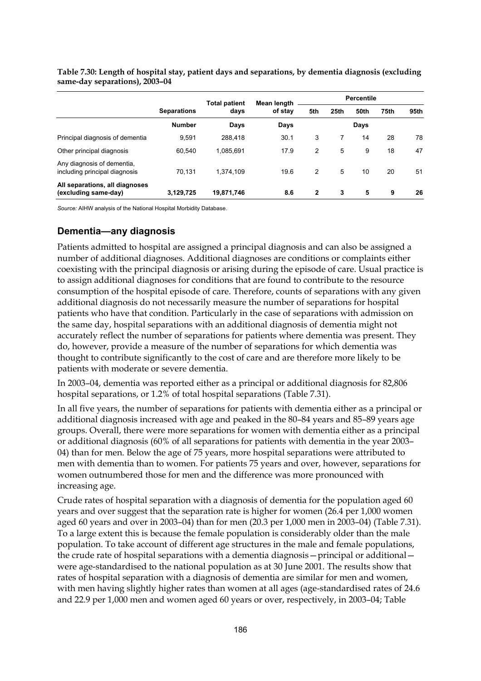|                                                             |                    | <b>Total patient</b> | Mean length | <b>Percentile</b> |      |      |      |      |
|-------------------------------------------------------------|--------------------|----------------------|-------------|-------------------|------|------|------|------|
|                                                             | <b>Separations</b> | days                 | of stay     | 5th               | 25th | 50th | 75th | 95th |
|                                                             | <b>Number</b>      | Days                 | Days        |                   |      | Days |      |      |
| Principal diagnosis of dementia                             | 9.591              | 288.418              | 30.1        | 3                 | 7    | 14   | 28   | 78   |
| Other principal diagnosis                                   | 60,540             | 1.085.691            | 17.9        | 2                 | 5    | 9    | 18   | 47   |
| Any diagnosis of dementia,<br>including principal diagnosis | 70.131             | 1,374,109            | 19.6        | 2                 | 5    | 10   | 20   | 51   |
| All separations, all diagnoses<br>(excluding same-day)      | 3,129,725          | 19,871,746           | 8.6         | $\overline{2}$    | 3    | 5    | 9    | 26   |

**Table 7.30: Length of hospital stay, patient days and separations, by dementia diagnosis (excluding same-day separations), 2003–04** 

*Source:* AIHW analysis of the National Hospital Morbidity Database.

#### **Dementia—any diagnosis**

Patients admitted to hospital are assigned a principal diagnosis and can also be assigned a number of additional diagnoses. Additional diagnoses are conditions or complaints either coexisting with the principal diagnosis or arising during the episode of care. Usual practice is to assign additional diagnoses for conditions that are found to contribute to the resource consumption of the hospital episode of care. Therefore, counts of separations with any given additional diagnosis do not necessarily measure the number of separations for hospital patients who have that condition. Particularly in the case of separations with admission on the same day, hospital separations with an additional diagnosis of dementia might not accurately reflect the number of separations for patients where dementia was present. They do, however, provide a measure of the number of separations for which dementia was thought to contribute significantly to the cost of care and are therefore more likely to be patients with moderate or severe dementia.

In 2003–04, dementia was reported either as a principal or additional diagnosis for 82,806 hospital separations, or 1.2% of total hospital separations (Table 7.31).

In all five years, the number of separations for patients with dementia either as a principal or additional diagnosis increased with age and peaked in the 80–84 years and 85–89 years age groups. Overall, there were more separations for women with dementia either as a principal or additional diagnosis (60% of all separations for patients with dementia in the year 2003– 04) than for men. Below the age of 75 years, more hospital separations were attributed to men with dementia than to women. For patients 75 years and over, however, separations for women outnumbered those for men and the difference was more pronounced with increasing age.

Crude rates of hospital separation with a diagnosis of dementia for the population aged 60 years and over suggest that the separation rate is higher for women (26.4 per 1,000 women aged 60 years and over in 2003–04) than for men (20.3 per 1,000 men in 2003–04) (Table 7.31). To a large extent this is because the female population is considerably older than the male population. To take account of different age structures in the male and female populations, the crude rate of hospital separations with a dementia diagnosis—principal or additional were age-standardised to the national population as at 30 June 2001. The results show that rates of hospital separation with a diagnosis of dementia are similar for men and women, with men having slightly higher rates than women at all ages (age-standardised rates of 24.6 and 22.9 per 1,000 men and women aged 60 years or over, respectively, in 2003–04; Table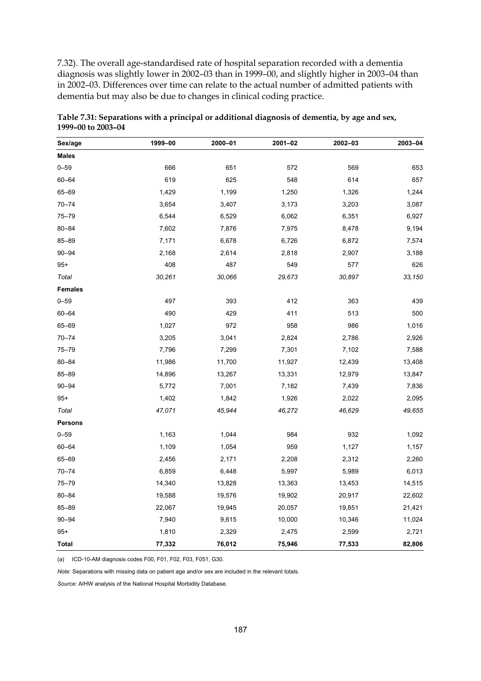7.32). The overall age-standardised rate of hospital separation recorded with a dementia diagnosis was slightly lower in 2002–03 than in 1999–00, and slightly higher in 2003–04 than in 2002–03. Differences over time can relate to the actual number of admitted patients with dementia but may also be due to changes in clinical coding practice.

| Sex/age        | 1999-00 | 2000-01 | 2001-02 | 2002-03 | 2003-04 |
|----------------|---------|---------|---------|---------|---------|
| <b>Males</b>   |         |         |         |         |         |
| $0 - 59$       | 666     | 651     | 572     | 569     | 653     |
| $60 - 64$      | 619     | 625     | 548     | 614     | 657     |
| 65-69          | 1,429   | 1,199   | 1,250   | 1,326   | 1,244   |
| $70 - 74$      | 3,654   | 3,407   | 3,173   | 3,203   | 3,087   |
| $75 - 79$      | 6,544   | 6,529   | 6,062   | 6,351   | 6,927   |
| $80 - 84$      | 7,602   | 7,876   | 7,975   | 8,478   | 9,194   |
| $85 - 89$      | 7,171   | 6,678   | 6,726   | 6,872   | 7,574   |
| $90 - 94$      | 2,168   | 2,614   | 2,818   | 2,907   | 3,188   |
| $95+$          | 408     | 487     | 549     | 577     | 626     |
| Total          | 30,261  | 30,066  | 29,673  | 30,897  | 33,150  |
| <b>Females</b> |         |         |         |         |         |
| $0 - 59$       | 497     | 393     | 412     | 363     | 439     |
| $60 - 64$      | 490     | 429     | 411     | 513     | 500     |
| 65-69          | 1,027   | 972     | 958     | 986     | 1,016   |
| $70 - 74$      | 3,205   | 3,041   | 2,824   | 2,786   | 2,926   |
| $75 - 79$      | 7,796   | 7,299   | 7,301   | 7,102   | 7,588   |
| 80-84          | 11,986  | 11,700  | 11,927  | 12,439  | 13,408  |
| 85-89          | 14,896  | 13,267  | 13,331  | 12,979  | 13,847  |
| $90 - 94$      | 5,772   | 7,001   | 7,182   | 7,439   | 7,836   |
| $95+$          | 1,402   | 1,842   | 1,926   | 2,022   | 2,095   |
| Total          | 47,071  | 45,944  | 46,272  | 46,629  | 49,655  |
| <b>Persons</b> |         |         |         |         |         |
| $0 - 59$       | 1,163   | 1,044   | 984     | 932     | 1,092   |
| $60 - 64$      | 1,109   | 1,054   | 959     | 1,127   | 1,157   |
| $65 - 69$      | 2,456   | 2,171   | 2,208   | 2,312   | 2,260   |
| $70 - 74$      | 6,859   | 6,448   | 5,997   | 5,989   | 6,013   |
| $75 - 79$      | 14,340  | 13,828  | 13,363  | 13,453  | 14,515  |
| $80 - 84$      | 19,588  | 19,576  | 19,902  | 20,917  | 22,602  |
| $85 - 89$      | 22,067  | 19,945  | 20,057  | 19,851  | 21,421  |
| $90 - 94$      | 7,940   | 9,615   | 10,000  | 10,346  | 11,024  |
| $95+$          | 1,810   | 2,329   | 2,475   | 2,599   | 2,721   |
| Total          | 77,332  | 76,012  | 75,946  | 77,533  | 82,806  |

**Table 7.31: Separations with a principal or additional diagnosis of dementia, by age and sex, 1999–00 to 2003–04** 

(a) ICD-10-AM diagnosis codes F00, F01, F02, F03, F051, G30.

*Note:* Separations with missing data on patient age and/or sex are included in the relevant totals.

*Source:* AIHW analysis of the National Hospital Morbidity Database.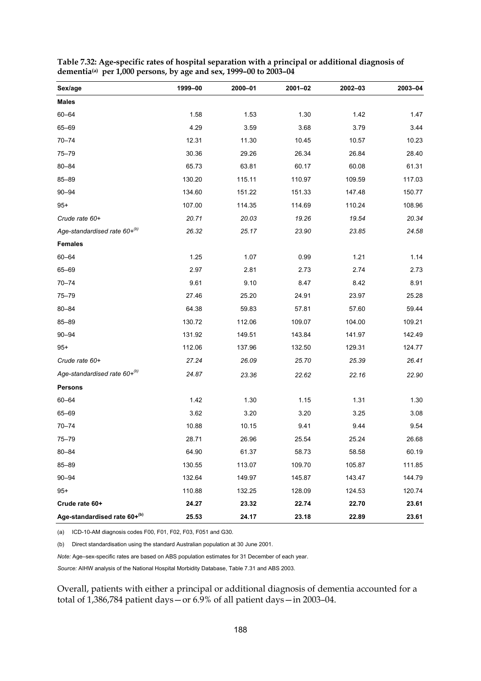| Sex/age                      | 1999-00 | 2000-01 | 2001-02 | 2002-03 | 2003-04 |
|------------------------------|---------|---------|---------|---------|---------|
| <b>Males</b>                 |         |         |         |         |         |
| 60-64                        | 1.58    | 1.53    | 1.30    | 1.42    | 1.47    |
| 65-69                        | 4.29    | 3.59    | 3.68    | 3.79    | 3.44    |
| $70 - 74$                    | 12.31   | 11.30   | 10.45   | 10.57   | 10.23   |
| $75 - 79$                    | 30.36   | 29.26   | 26.34   | 26.84   | 28.40   |
| $80 - 84$                    | 65.73   | 63.81   | 60.17   | 60.08   | 61.31   |
| $85 - 89$                    | 130.20  | 115.11  | 110.97  | 109.59  | 117.03  |
| $90 - 94$                    | 134.60  | 151.22  | 151.33  | 147.48  | 150.77  |
| $95+$                        | 107.00  | 114.35  | 114.69  | 110.24  | 108.96  |
| Crude rate 60+               | 20.71   | 20.03   | 19.26   | 19.54   | 20.34   |
| Age-standardised rate 60+(b) | 26.32   | 25.17   | 23.90   | 23.85   | 24.58   |
| <b>Females</b>               |         |         |         |         |         |
| $60 - 64$                    | 1.25    | 1.07    | 0.99    | 1.21    | 1.14    |
| 65-69                        | 2.97    | 2.81    | 2.73    | 2.74    | 2.73    |
| $70 - 74$                    | 9.61    | 9.10    | 8.47    | 8.42    | 8.91    |
| $75 - 79$                    | 27.46   | 25.20   | 24.91   | 23.97   | 25.28   |
| 80-84                        | 64.38   | 59.83   | 57.81   | 57.60   | 59.44   |
| 85-89                        | 130.72  | 112.06  | 109.07  | 104.00  | 109.21  |
| $90 - 94$                    | 131.92  | 149.51  | 143.84  | 141.97  | 142.49  |
| $95+$                        | 112.06  | 137.96  | 132.50  | 129.31  | 124.77  |
| Crude rate 60+               | 27.24   | 26.09   | 25.70   | 25.39   | 26.41   |
| Age-standardised rate 60+(b) | 24.87   | 23.36   | 22.62   | 22.16   | 22.90   |
| <b>Persons</b>               |         |         |         |         |         |
| $60 - 64$                    | 1.42    | 1.30    | 1.15    | 1.31    | 1.30    |
| 65-69                        | 3.62    | 3.20    | 3.20    | 3.25    | 3.08    |
| $70 - 74$                    | 10.88   | 10.15   | 9.41    | 9.44    | 9.54    |
| $75 - 79$                    | 28.71   | 26.96   | 25.54   | 25.24   | 26.68   |
| $80 - 84$                    | 64.90   | 61.37   | 58.73   | 58.58   | 60.19   |
| $85 - 89$                    | 130.55  | 113.07  | 109.70  | 105.87  | 111.85  |
| $90 - 94$                    | 132.64  | 149.97  | 145.87  | 143.47  | 144.79  |
| $95+$                        | 110.88  | 132.25  | 128.09  | 124.53  | 120.74  |
| Crude rate 60+               | 24.27   | 23.32   | 22.74   | 22.70   | 23.61   |
| Age-standardised rate 60+(b) | 25.53   | 24.17   | 23.18   | 22.89   | 23.61   |

**Table 7.32: Age-specific rates of hospital separation with a principal or additional diagnosis of dementia(a) per 1,000 persons, by age and sex, 1999–00 to 2003–04** 

(a) ICD-10-AM diagnosis codes F00, F01, F02, F03, F051 and G30.

(b) Direct standardisation using the standard Australian population at 30 June 2001.

*Note:* Age–sex-specific rates are based on ABS population estimates for 31 December of each year.

*Source:* AIHW analysis of the National Hospital Morbidity Database, Table 7.31 and ABS 2003.

Overall, patients with either a principal or additional diagnosis of dementia accounted for a total of 1,386,784 patient days—or 6.9% of all patient days—in 2003–04.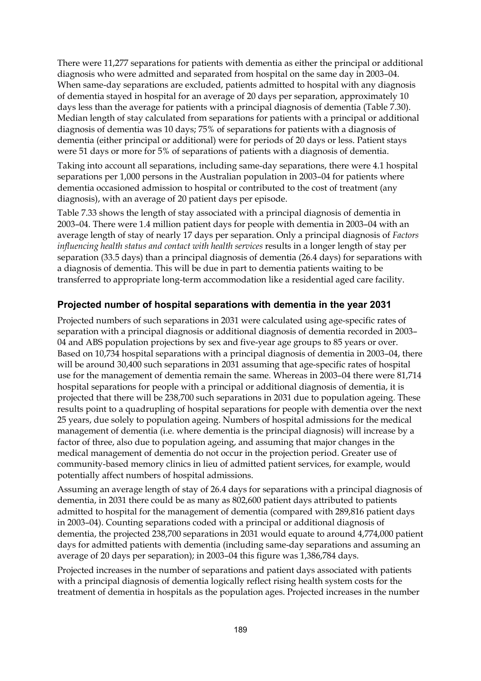There were 11,277 separations for patients with dementia as either the principal or additional diagnosis who were admitted and separated from hospital on the same day in 2003–04. When same-day separations are excluded, patients admitted to hospital with any diagnosis of dementia stayed in hospital for an average of 20 days per separation, approximately 10 days less than the average for patients with a principal diagnosis of dementia (Table 7.30). Median length of stay calculated from separations for patients with a principal or additional diagnosis of dementia was 10 days; 75% of separations for patients with a diagnosis of dementia (either principal or additional) were for periods of 20 days or less. Patient stays were 51 days or more for 5% of separations of patients with a diagnosis of dementia.

Taking into account all separations, including same-day separations, there were 4.1 hospital separations per 1,000 persons in the Australian population in 2003–04 for patients where dementia occasioned admission to hospital or contributed to the cost of treatment (any diagnosis), with an average of 20 patient days per episode.

Table 7.33 shows the length of stay associated with a principal diagnosis of dementia in 2003–04. There were 1.4 million patient days for people with dementia in 2003–04 with an average length of stay of nearly 17 days per separation. Only a principal diagnosis of *Factors influencing health status and contact with health services* results in a longer length of stay per separation (33.5 days) than a principal diagnosis of dementia (26.4 days) for separations with a diagnosis of dementia. This will be due in part to dementia patients waiting to be transferred to appropriate long-term accommodation like a residential aged care facility.

#### **Projected number of hospital separations with dementia in the year 2031**

Projected numbers of such separations in 2031 were calculated using age-specific rates of separation with a principal diagnosis or additional diagnosis of dementia recorded in 2003– 04 and ABS population projections by sex and five-year age groups to 85 years or over. Based on 10,734 hospital separations with a principal diagnosis of dementia in 2003–04, there will be around 30,400 such separations in 2031 assuming that age-specific rates of hospital use for the management of dementia remain the same. Whereas in 2003–04 there were 81,714 hospital separations for people with a principal or additional diagnosis of dementia, it is projected that there will be 238,700 such separations in 2031 due to population ageing. These results point to a quadrupling of hospital separations for people with dementia over the next 25 years, due solely to population ageing. Numbers of hospital admissions for the medical management of dementia (i.e. where dementia is the principal diagnosis) will increase by a factor of three, also due to population ageing, and assuming that major changes in the medical management of dementia do not occur in the projection period. Greater use of community-based memory clinics in lieu of admitted patient services, for example, would potentially affect numbers of hospital admissions.

Assuming an average length of stay of 26.4 days for separations with a principal diagnosis of dementia, in 2031 there could be as many as 802,600 patient days attributed to patients admitted to hospital for the management of dementia (compared with 289,816 patient days in 2003–04). Counting separations coded with a principal or additional diagnosis of dementia, the projected 238,700 separations in 2031 would equate to around 4,774,000 patient days for admitted patients with dementia (including same-day separations and assuming an average of 20 days per separation); in 2003–04 this figure was 1,386,784 days.

Projected increases in the number of separations and patient days associated with patients with a principal diagnosis of dementia logically reflect rising health system costs for the treatment of dementia in hospitals as the population ages. Projected increases in the number